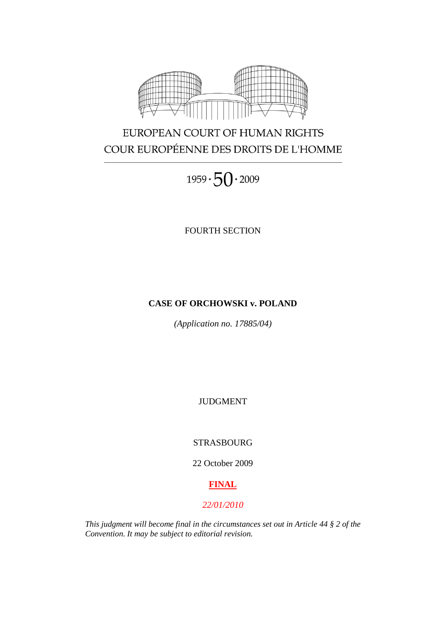

# EUROPEAN COURT OF HUMAN RIGHTS COUR EUROPÉENNE DES DROITS DE L'HOMME

 $1959 \cdot 50 \cdot 2009$ 

FOURTH SECTION

## **CASE OF ORCHOWSKI v. POLAND**

*(Application no. 17885/04)*

JUDGMENT

STRASBOURG

22 October 2009

## **FINAL**

## *22/01/2010*

*This judgment will become final in the circumstances set out in Article 44 § 2 of the Convention. It may be subject to editorial revision.*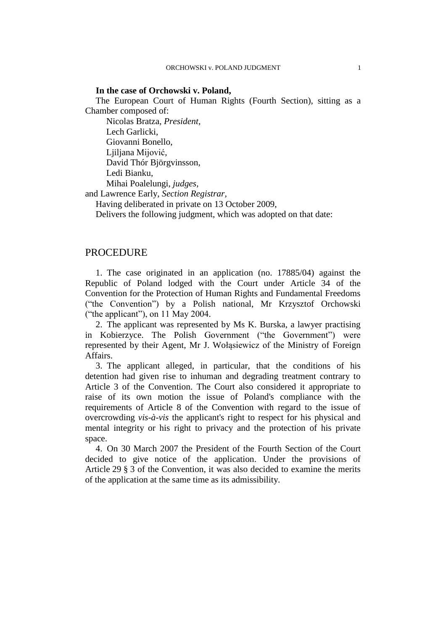#### **In the case of Orchowski v. Poland,**

The European Court of Human Rights (Fourth Section), sitting as a Chamber composed of:

Nicolas Bratza, *President,* Lech Garlicki, Giovanni Bonello, Ljiljana Mijović, David Thór Björgvinsson, Ledi Bianku, Mihai Poalelungi, *judges,*

and Lawrence Early, *Section Registrar,*

Having deliberated in private on 13 October 2009,

Delivers the following judgment, which was adopted on that date:

## PROCEDURE

1. The case originated in an application (no. 17885/04) against the Republic of Poland lodged with the Court under Article 34 of the Convention for the Protection of Human Rights and Fundamental Freedoms ("the Convention") by a Polish national, Mr Krzysztof Orchowski ("the applicant"), on 11 May 2004.

2. The applicant was represented by Ms K. Burska, a lawyer practising in Kobierzyce. The Polish Government ("the Government") were represented by their Agent, Mr J. Wołąsiewicz of the Ministry of Foreign Affairs.

3. The applicant alleged, in particular, that the conditions of his detention had given rise to inhuman and degrading treatment contrary to Article 3 of the Convention. The Court also considered it appropriate to raise of its own motion the issue of Poland's compliance with the requirements of Article 8 of the Convention with regard to the issue of overcrowding *vis-à-vis* the applicant's right to respect for his physical and mental integrity or his right to privacy and the protection of his private space.

4. On 30 March 2007 the President of the Fourth Section of the Court decided to give notice of the application. Under the provisions of Article 29 § 3 of the Convention, it was also decided to examine the merits of the application at the same time as its admissibility.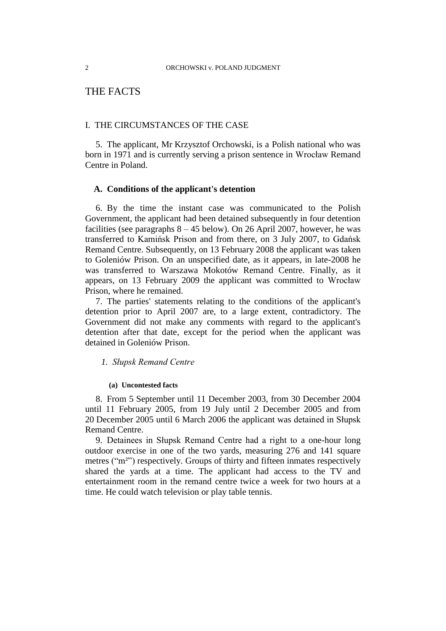## THE FACTS

## I. THE CIRCUMSTANCES OF THE CASE

5. The applicant, Mr Krzysztof Orchowski, is a Polish national who was born in 1971 and is currently serving a prison sentence in Wrocław Remand Centre in Poland.

## **A. Conditions of the applicant's detention**

6. By the time the instant case was communicated to the Polish Government, the applicant had been detained subsequently in four detention facilities (see paragraphs  $8 - 45$  below). On 26 April 2007, however, he was transferred to Kamińsk Prison and from there, on 3 July 2007, to Gdańsk Remand Centre. Subsequently, on 13 February 2008 the applicant was taken to Goleniów Prison. On an unspecified date, as it appears, in late-2008 he was transferred to Warszawa Mokotów Remand Centre. Finally, as it appears, on 13 February 2009 the applicant was committed to Wrocław Prison, where he remained.

7. The parties' statements relating to the conditions of the applicant's detention prior to April 2007 are, to a large extent, contradictory. The Government did not make any comments with regard to the applicant's detention after that date, except for the period when the applicant was detained in Goleniów Prison.

#### *1. Słupsk Remand Centre*

#### **(a) Uncontested facts**

8. From 5 September until 11 December 2003, from 30 December 2004 until 11 February 2005, from 19 July until 2 December 2005 and from 20 December 2005 until 6 March 2006 the applicant was detained in Słupsk Remand Centre.

9. Detainees in Słupsk Remand Centre had a right to a one-hour long outdoor exercise in one of the two yards, measuring 276 and 141 square metres ("m²") respectively. Groups of thirty and fifteen inmates respectively shared the yards at a time. The applicant had access to the TV and entertainment room in the remand centre twice a week for two hours at a time. He could watch television or play table tennis.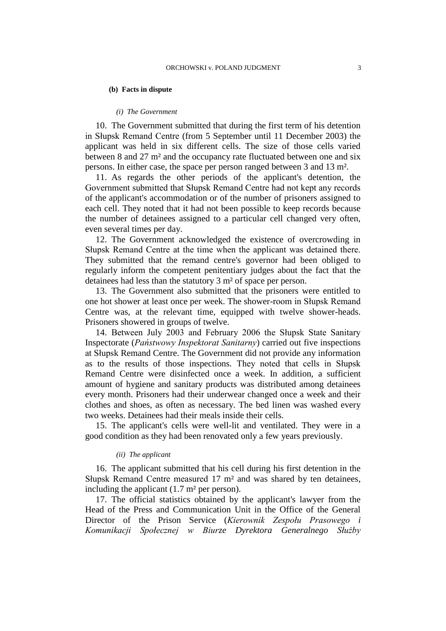#### **(b) Facts in dispute**

#### *(i) The Government*

10. The Government submitted that during the first term of his detention in Słupsk Remand Centre (from 5 September until 11 December 2003) the applicant was held in six different cells. The size of those cells varied between 8 and 27 m² and the occupancy rate fluctuated between one and six persons. In either case, the space per person ranged between 3 and 13 m².

11. As regards the other periods of the applicant's detention, the Government submitted that Słupsk Remand Centre had not kept any records of the applicant's accommodation or of the number of prisoners assigned to each cell. They noted that it had not been possible to keep records because the number of detainees assigned to a particular cell changed very often, even several times per day.

12. The Government acknowledged the existence of overcrowding in Słupsk Remand Centre at the time when the applicant was detained there. They submitted that the remand centre's governor had been obliged to regularly inform the competent penitentiary judges about the fact that the detainees had less than the statutory 3 m² of space per person.

13. The Government also submitted that the prisoners were entitled to one hot shower at least once per week. The shower-room in Słupsk Remand Centre was, at the relevant time, equipped with twelve shower-heads. Prisoners showered in groups of twelve.

14. Between July 2003 and February 2006 the Słupsk State Sanitary Inspectorate (*Państwowy Inspektorat Sanitarny*) carried out five inspections at Słupsk Remand Centre. The Government did not provide any information as to the results of those inspections. They noted that cells in Słupsk Remand Centre were disinfected once a week. In addition, a sufficient amount of hygiene and sanitary products was distributed among detainees every month. Prisoners had their underwear changed once a week and their clothes and shoes, as often as necessary. The bed linen was washed every two weeks. Detainees had their meals inside their cells.

15. The applicant's cells were well-lit and ventilated. They were in a good condition as they had been renovated only a few years previously.

### *(ii) The applicant*

16. The applicant submitted that his cell during his first detention in the Słupsk Remand Centre measured 17 m² and was shared by ten detainees, including the applicant  $(1.7 \text{ m}^2 \text{ per person})$ .

17. The official statistics obtained by the applicant's lawyer from the Head of the Press and Communication Unit in the Office of the General Director of the Prison Service (*Kierownik Zespołu Prasowego i Komunikacji Społecznej w Biurze Dyrektora Generalnego Służby*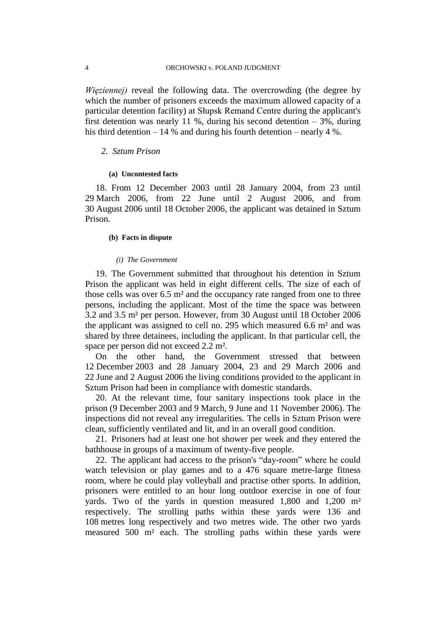*Więziennej)* reveal the following data. The overcrowding (the degree by which the number of prisoners exceeds the maximum allowed capacity of a particular detention facility) at Słupsk Remand Centre during the applicant's first detention was nearly 11 %, during his second detention  $-3\%$ , during his third detention – 14 % and during his fourth detention – nearly 4 %.

#### *2. Sztum Prison*

#### **(a) Uncontested facts**

18. From 12 December 2003 until 28 January 2004, from 23 until 29 March 2006, from 22 June until 2 August 2006, and from 30 August 2006 until 18 October 2006, the applicant was detained in Sztum Prison.

#### **(b) Facts in dispute**

## *(i) The Government*

19. The Government submitted that throughout his detention in Sztum Prison the applicant was held in eight different cells. The size of each of those cells was over 6.5 m² and the occupancy rate ranged from one to three persons, including the applicant. Most of the time the space was between 3.2 and 3.5 m² per person. However, from 30 August until 18 October 2006 the applicant was assigned to cell no. 295 which measured 6.6 m² and was shared by three detainees, including the applicant. In that particular cell, the space per person did not exceed 2.2 m².

On the other hand, the Government stressed that between 12 December 2003 and 28 January 2004, 23 and 29 March 2006 and 22 June and 2 August 2006 the living conditions provided to the applicant in Sztum Prison had been in compliance with domestic standards.

20. At the relevant time, four sanitary inspections took place in the prison (9 December 2003 and 9 March, 9 June and 11 November 2006). The inspections did not reveal any irregularities. The cells in Sztum Prison were clean, sufficiently ventilated and lit, and in an overall good condition.

21. Prisoners had at least one hot shower per week and they entered the bathhouse in groups of a maximum of twenty-five people.

22. The applicant had access to the prison's "day-room" where he could watch television or play games and to a 476 square metre-large fitness room, where he could play volleyball and practise other sports. In addition, prisoners were entitled to an hour long outdoor exercise in one of four yards. Two of the yards in question measured 1,800 and 1,200 m² respectively. The strolling paths within these yards were 136 and 108 metres long respectively and two metres wide. The other two yards measured 500 m² each. The strolling paths within these yards were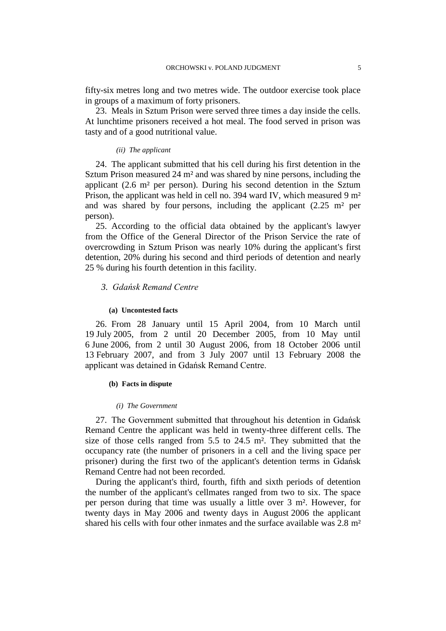fifty-six metres long and two metres wide. The outdoor exercise took place in groups of a maximum of forty prisoners.

23. Meals in Sztum Prison were served three times a day inside the cells. At lunchtime prisoners received a hot meal. The food served in prison was tasty and of a good nutritional value.

#### *(ii) The applicant*

24. The applicant submitted that his cell during his first detention in the Sztum Prison measured 24 m² and was shared by nine persons, including the applicant (2.6 m² per person). During his second detention in the Sztum Prison, the applicant was held in cell no. 394 ward IV, which measured 9 m² and was shared by four persons, including the applicant  $(2.25 \text{ m}^2 \text{ per})$ person).

25. According to the official data obtained by the applicant's lawyer from the Office of the General Director of the Prison Service the rate of overcrowding in Sztum Prison was nearly 10% during the applicant's first detention, 20% during his second and third periods of detention and nearly 25 % during his fourth detention in this facility.

## *3. Gdańsk Remand Centre*

#### **(a) Uncontested facts**

26. From 28 January until 15 April 2004, from 10 March until 19 July 2005, from 2 until 20 December 2005, from 10 May until 6 June 2006, from 2 until 30 August 2006, from 18 October 2006 until 13 February 2007, and from 3 July 2007 until 13 February 2008 the applicant was detained in Gdańsk Remand Centre.

#### **(b) Facts in dispute**

#### *(i) The Government*

27. The Government submitted that throughout his detention in Gdańsk Remand Centre the applicant was held in twenty-three different cells. The size of those cells ranged from 5.5 to 24.5 m². They submitted that the occupancy rate (the number of prisoners in a cell and the living space per prisoner) during the first two of the applicant's detention terms in Gdańsk Remand Centre had not been recorded.

During the applicant's third, fourth, fifth and sixth periods of detention the number of the applicant's cellmates ranged from two to six. The space per person during that time was usually a little over 3 m². However, for twenty days in May 2006 and twenty days in August 2006 the applicant shared his cells with four other inmates and the surface available was 2.8 m²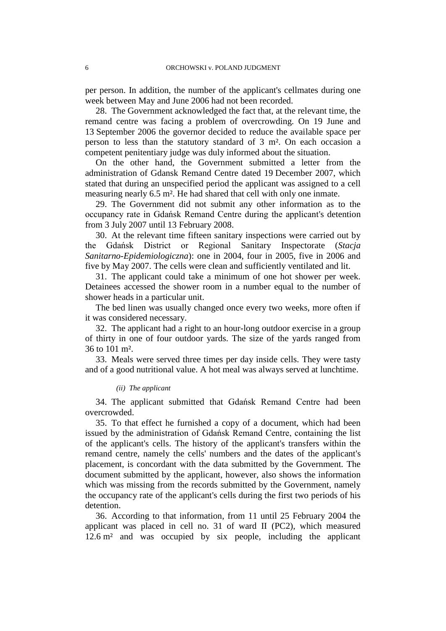per person. In addition, the number of the applicant's cellmates during one week between May and June 2006 had not been recorded.

28. The Government acknowledged the fact that, at the relevant time, the remand centre was facing a problem of overcrowding. On 19 June and 13 September 2006 the governor decided to reduce the available space per person to less than the statutory standard of 3 m². On each occasion a competent penitentiary judge was duly informed about the situation.

On the other hand, the Government submitted a letter from the administration of Gdansk Remand Centre dated 19 December 2007, which stated that during an unspecified period the applicant was assigned to a cell measuring nearly 6.5 m². He had shared that cell with only one inmate.

29. The Government did not submit any other information as to the occupancy rate in Gdańsk Remand Centre during the applicant's detention from 3 July 2007 until 13 February 2008.

30. At the relevant time fifteen sanitary inspections were carried out by the Gdańsk District or Regional Sanitary Inspectorate (*Stacja Sanitarno-Epidemiologiczna*): one in 2004, four in 2005, five in 2006 and five by May 2007. The cells were clean and sufficiently ventilated and lit.

31. The applicant could take a minimum of one hot shower per week. Detainees accessed the shower room in a number equal to the number of shower heads in a particular unit.

The bed linen was usually changed once every two weeks, more often if it was considered necessary.

32. The applicant had a right to an hour-long outdoor exercise in a group of thirty in one of four outdoor yards. The size of the yards ranged from 36 to 101 m².

33. Meals were served three times per day inside cells. They were tasty and of a good nutritional value. A hot meal was always served at lunchtime.

#### *(ii) The applicant*

34. The applicant submitted that Gdańsk Remand Centre had been overcrowded.

35. To that effect he furnished a copy of a document, which had been issued by the administration of Gdańsk Remand Centre, containing the list of the applicant's cells. The history of the applicant's transfers within the remand centre, namely the cells' numbers and the dates of the applicant's placement, is concordant with the data submitted by the Government. The document submitted by the applicant, however, also shows the information which was missing from the records submitted by the Government, namely the occupancy rate of the applicant's cells during the first two periods of his detention.

36. According to that information, from 11 until 25 February 2004 the applicant was placed in cell no. 31 of ward II (PC2), which measured 12.6 m² and was occupied by six people, including the applicant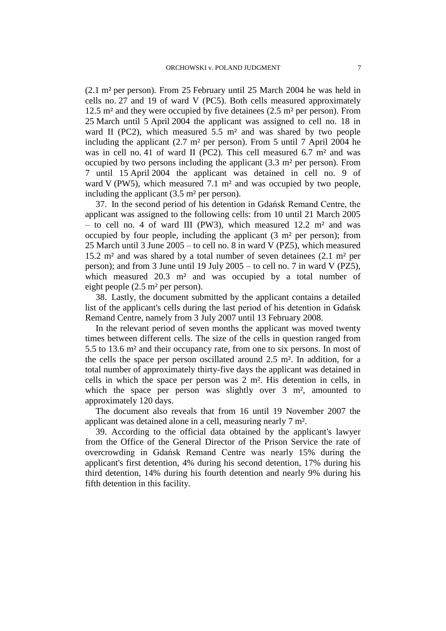(2.1 m² per person). From 25 February until 25 March 2004 he was held in cells no. 27 and 19 of ward V (PC5). Both cells measured approximately 12.5 m² and they were occupied by five detainees (2.5 m² per person). From 25 March until 5 April 2004 the applicant was assigned to cell no. 18 in ward II (PC2), which measured 5.5 m² and was shared by two people including the applicant (2.7 m² per person). From 5 until 7 April 2004 he was in cell no. 41 of ward II (PC2). This cell measured 6.7 m<sup>2</sup> and was occupied by two persons including the applicant (3.3 m² per person). From 7 until 15 April 2004 the applicant was detained in cell no. 9 of ward V (PW5), which measured 7.1 m<sup>2</sup> and was occupied by two people, including the applicant (3.5 m<sup>2</sup> per person).

37. In the second period of his detention in Gdańsk Remand Centre, the applicant was assigned to the following cells: from 10 until 21 March 2005 – to cell no. 4 of ward III (PW3), which measured  $12.2$  m<sup>2</sup> and was occupied by four people, including the applicant (3 m² per person); from 25 March until 3 June 2005 – to cell no. 8 in ward V (PZ5), which measured 15.2 m² and was shared by a total number of seven detainees (2.1 m² per person); and from 3 June until 19 July 2005 – to cell no. 7 in ward V (PZ5), which measured 20.3 m<sup>2</sup> and was occupied by a total number of eight people (2.5 m² per person).

38. Lastly, the document submitted by the applicant contains a detailed list of the applicant's cells during the last period of his detention in Gdańsk Remand Centre, namely from 3 July 2007 until 13 February 2008.

In the relevant period of seven months the applicant was moved twenty times between different cells. The size of the cells in question ranged from 5.5 to 13.6 m² and their occupancy rate, from one to six persons. In most of the cells the space per person oscillated around 2.5 m². In addition, for a total number of approximately thirty-five days the applicant was detained in cells in which the space per person was 2 m². His detention in cells, in which the space per person was slightly over 3 m<sup>2</sup>, amounted to approximately 120 days.

The document also reveals that from 16 until 19 November 2007 the applicant was detained alone in a cell, measuring nearly 7 m².

39. According to the official data obtained by the applicant's lawyer from the Office of the General Director of the Prison Service the rate of overcrowding in Gdańsk Remand Centre was nearly 15% during the applicant's first detention, 4% during his second detention, 17% during his third detention, 14% during his fourth detention and nearly 9% during his fifth detention in this facility.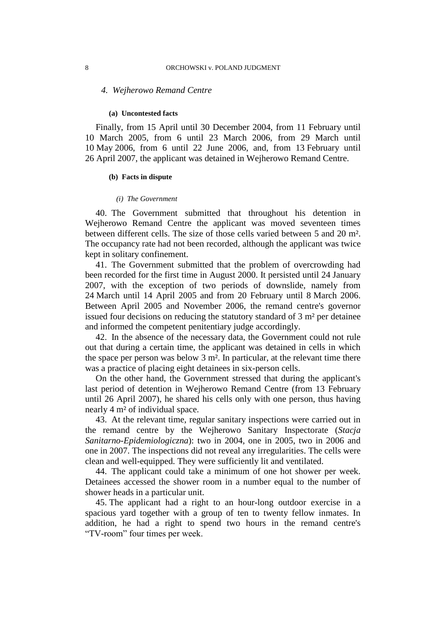#### *4. Wejherowo Remand Centre*

#### **(a) Uncontested facts**

Finally, from 15 April until 30 December 2004, from 11 February until 10 March 2005, from 6 until 23 March 2006, from 29 March until 10 May 2006, from 6 until 22 June 2006, and, from 13 February until 26 April 2007, the applicant was detained in Wejherowo Remand Centre.

#### **(b) Facts in dispute**

#### *(i) The Government*

40. The Government submitted that throughout his detention in Wejherowo Remand Centre the applicant was moved seventeen times between different cells. The size of those cells varied between 5 and 20 m². The occupancy rate had not been recorded, although the applicant was twice kept in solitary confinement.

41. The Government submitted that the problem of overcrowding had been recorded for the first time in August 2000. It persisted until 24 January 2007, with the exception of two periods of downslide, namely from 24 March until 14 April 2005 and from 20 February until 8 March 2006. Between April 2005 and November 2006, the remand centre's governor issued four decisions on reducing the statutory standard of 3 m² per detainee and informed the competent penitentiary judge accordingly.

42. In the absence of the necessary data, the Government could not rule out that during a certain time, the applicant was detained in cells in which the space per person was below 3 m². In particular, at the relevant time there was a practice of placing eight detainees in six-person cells.

On the other hand, the Government stressed that during the applicant's last period of detention in Wejherowo Remand Centre (from 13 February until 26 April 2007), he shared his cells only with one person, thus having nearly 4 m² of individual space.

43. At the relevant time, regular sanitary inspections were carried out in the remand centre by the Wejherowo Sanitary Inspectorate (*Stacja Sanitarno-Epidemiologiczna*): two in 2004, one in 2005, two in 2006 and one in 2007. The inspections did not reveal any irregularities. The cells were clean and well-equipped. They were sufficiently lit and ventilated.

44. The applicant could take a minimum of one hot shower per week. Detainees accessed the shower room in a number equal to the number of shower heads in a particular unit.

45. The applicant had a right to an hour-long outdoor exercise in a spacious yard together with a group of ten to twenty fellow inmates. In addition, he had a right to spend two hours in the remand centre's "TV-room" four times per week.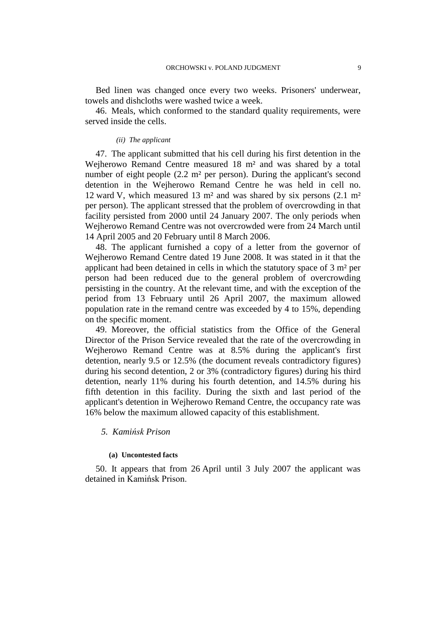Bed linen was changed once every two weeks. Prisoners' underwear, towels and dishcloths were washed twice a week.

46. Meals, which conformed to the standard quality requirements, were served inside the cells.

#### *(ii) The applicant*

47. The applicant submitted that his cell during his first detention in the Wejherowo Remand Centre measured 18 m² and was shared by a total number of eight people (2.2 m² per person). During the applicant's second detention in the Wejherowo Remand Centre he was held in cell no. 12 ward V, which measured 13 m² and was shared by six persons (2.1 m² per person). The applicant stressed that the problem of overcrowding in that facility persisted from 2000 until 24 January 2007. The only periods when Wejherowo Remand Centre was not overcrowded were from 24 March until 14 April 2005 and 20 February until 8 March 2006.

48. The applicant furnished a copy of a letter from the governor of Wejherowo Remand Centre dated 19 June 2008. It was stated in it that the applicant had been detained in cells in which the statutory space of 3 m² per person had been reduced due to the general problem of overcrowding persisting in the country. At the relevant time, and with the exception of the period from 13 February until 26 April 2007, the maximum allowed population rate in the remand centre was exceeded by 4 to 15%, depending on the specific moment.

49. Moreover, the official statistics from the Office of the General Director of the Prison Service revealed that the rate of the overcrowding in Wejherowo Remand Centre was at 8.5% during the applicant's first detention, nearly 9.5 or 12.5% (the document reveals contradictory figures) during his second detention, 2 or 3% (contradictory figures) during his third detention, nearly 11% during his fourth detention, and 14.5% during his fifth detention in this facility. During the sixth and last period of the applicant's detention in Wejherowo Remand Centre, the occupancy rate was 16% below the maximum allowed capacity of this establishment.

## *5. Kamińsk Prison*

#### **(a) Uncontested facts**

50. It appears that from 26 April until 3 July 2007 the applicant was detained in Kamińsk Prison.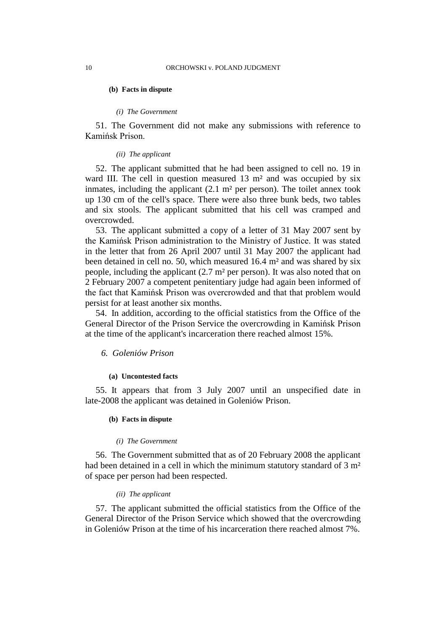#### **(b) Facts in dispute**

#### *(i) The Government*

51. The Government did not make any submissions with reference to Kamińsk Prison.

## *(ii) The applicant*

52. The applicant submitted that he had been assigned to cell no. 19 in ward III. The cell in question measured 13 m<sup>2</sup> and was occupied by six inmates, including the applicant  $(2.1 \text{ m}^2 \text{ per person})$ . The toilet annex took up 130 cm of the cell's space. There were also three bunk beds, two tables and six stools. The applicant submitted that his cell was cramped and overcrowded.

53. The applicant submitted a copy of a letter of 31 May 2007 sent by the Kamińsk Prison administration to the Ministry of Justice. It was stated in the letter that from 26 April 2007 until 31 May 2007 the applicant had been detained in cell no. 50, which measured 16.4 m² and was shared by six people, including the applicant (2.7 m² per person). It was also noted that on 2 February 2007 a competent penitentiary judge had again been informed of the fact that Kamińsk Prison was overcrowded and that that problem would persist for at least another six months.

54. In addition, according to the official statistics from the Office of the General Director of the Prison Service the overcrowding in Kamińsk Prison at the time of the applicant's incarceration there reached almost 15%.

#### *6. Goleniów Prison*

#### **(a) Uncontested facts**

55. It appears that from 3 July 2007 until an unspecified date in late-2008 the applicant was detained in Goleniów Prison.

### **(b) Facts in dispute**

#### *(i) The Government*

56. The Government submitted that as of 20 February 2008 the applicant had been detained in a cell in which the minimum statutory standard of 3 m<sup>2</sup> of space per person had been respected.

#### *(ii) The applicant*

57. The applicant submitted the official statistics from the Office of the General Director of the Prison Service which showed that the overcrowding in Goleniów Prison at the time of his incarceration there reached almost 7%.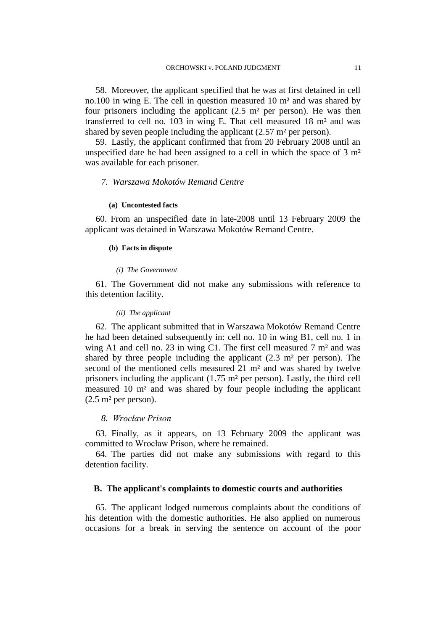58. Moreover, the applicant specified that he was at first detained in cell no.100 in wing E. The cell in question measured 10 m² and was shared by four prisoners including the applicant  $(2.5 \text{ m}^2 \text{ per person})$ . He was then transferred to cell no. 103 in wing E. That cell measured 18 m² and was shared by seven people including the applicant (2.57 m² per person).

59. Lastly, the applicant confirmed that from 20 February 2008 until an unspecified date he had been assigned to a cell in which the space of 3 m² was available for each prisoner.

## *7. Warszawa Mokotów Remand Centre*

#### **(a) Uncontested facts**

60. From an unspecified date in late-2008 until 13 February 2009 the applicant was detained in Warszawa Mokotów Remand Centre.

#### **(b) Facts in dispute**

#### *(i) The Government*

61. The Government did not make any submissions with reference to this detention facility.

#### *(ii) The applicant*

62. The applicant submitted that in Warszawa Mokotów Remand Centre he had been detained subsequently in: cell no. 10 in wing B1, cell no. 1 in wing A1 and cell no. 23 in wing C1. The first cell measured 7 m² and was shared by three people including the applicant  $(2.3 \text{ m}^2 \text{ per person})$ . The second of the mentioned cells measured 21 m² and was shared by twelve prisoners including the applicant (1.75 m² per person). Lastly, the third cell measured 10 m² and was shared by four people including the applicant  $(2.5 \text{ m}^2 \text{ per person}).$ 

#### *8. Wrocław Prison*

63. Finally, as it appears, on 13 February 2009 the applicant was committed to Wrocław Prison, where he remained.

64. The parties did not make any submissions with regard to this detention facility.

#### **B. The applicant's complaints to domestic courts and authorities**

65. The applicant lodged numerous complaints about the conditions of his detention with the domestic authorities. He also applied on numerous occasions for a break in serving the sentence on account of the poor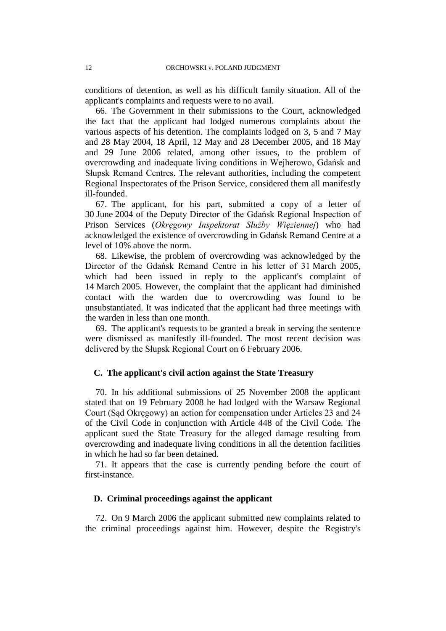conditions of detention, as well as his difficult family situation. All of the applicant's complaints and requests were to no avail.

66. The Government in their submissions to the Court, acknowledged the fact that the applicant had lodged numerous complaints about the various aspects of his detention. The complaints lodged on 3, 5 and 7 May and 28 May 2004, 18 April, 12 May and 28 December 2005, and 18 May and 29 June 2006 related, among other issues, to the problem of overcrowding and inadequate living conditions in Wejherowo, Gdańsk and Słupsk Remand Centres. The relevant authorities, including the competent Regional Inspectorates of the Prison Service, considered them all manifestly ill-founded.

67. The applicant, for his part, submitted a copy of a letter of 30 June 2004 of the Deputy Director of the Gdańsk Regional Inspection of Prison Services (*Okręgowy Inspektorat Służby Więziennej*) who had acknowledged the existence of overcrowding in Gdańsk Remand Centre at a level of 10% above the norm.

68. Likewise, the problem of overcrowding was acknowledged by the Director of the Gdańsk Remand Centre in his letter of 31 March 2005, which had been issued in reply to the applicant's complaint of 14 March 2005. However, the complaint that the applicant had diminished contact with the warden due to overcrowding was found to be unsubstantiated. It was indicated that the applicant had three meetings with the warden in less than one month.

69. The applicant's requests to be granted a break in serving the sentence were dismissed as manifestly ill-founded. The most recent decision was delivered by the Słupsk Regional Court on 6 February 2006.

## **C. The applicant's civil action against the State Treasury**

70. In his additional submissions of 25 November 2008 the applicant stated that on 19 February 2008 he had lodged with the Warsaw Regional Court (Sąd Okręgowy) an action for compensation under Articles 23 and 24 of the Civil Code in conjunction with Article 448 of the Civil Code. The applicant sued the State Treasury for the alleged damage resulting from overcrowding and inadequate living conditions in all the detention facilities in which he had so far been detained.

71. It appears that the case is currently pending before the court of first-instance.

## **D. Criminal proceedings against the applicant**

72. On 9 March 2006 the applicant submitted new complaints related to the criminal proceedings against him. However, despite the Registry's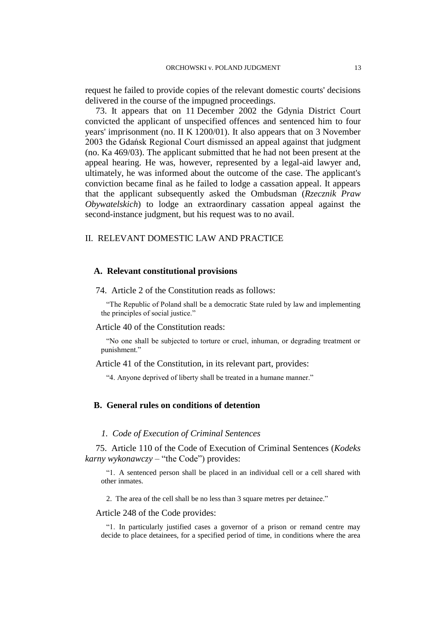request he failed to provide copies of the relevant domestic courts' decisions delivered in the course of the impugned proceedings.

73. It appears that on 11 December 2002 the Gdynia District Court convicted the applicant of unspecified offences and sentenced him to four years' imprisonment (no. II K 1200/01). It also appears that on 3 November 2003 the Gdańsk Regional Court dismissed an appeal against that judgment (no. Ka 469/03). The applicant submitted that he had not been present at the appeal hearing. He was, however, represented by a legal-aid lawyer and, ultimately, he was informed about the outcome of the case. The applicant's conviction became final as he failed to lodge a cassation appeal. It appears that the applicant subsequently asked the Ombudsman (*Rzecznik Praw Obywatelskich*) to lodge an extraordinary cassation appeal against the second-instance judgment, but his request was to no avail.

## II. RELEVANT DOMESTIC LAW AND PRACTICE

#### **A. Relevant constitutional provisions**

74. Article 2 of the Constitution reads as follows:

"The Republic of Poland shall be a democratic State ruled by law and implementing the principles of social justice."

Article 40 of the Constitution reads:

"No one shall be subjected to torture or cruel, inhuman, or degrading treatment or punishment."

Article 41 of the Constitution, in its relevant part, provides:

"4. Anyone deprived of liberty shall be treated in a humane manner."

## **B. General rules on conditions of detention**

#### *1. Code of Execution of Criminal Sentences*

75. Article 110 of the Code of Execution of Criminal Sentences (*Kodeks karny wykonawczy* – "the Code") provides:

"1. A sentenced person shall be placed in an individual cell or a cell shared with other inmates.

2. The area of the cell shall be no less than 3 square metres per detainee."

Article 248 of the Code provides:

"1. In particularly justified cases a governor of a prison or remand centre may decide to place detainees, for a specified period of time, in conditions where the area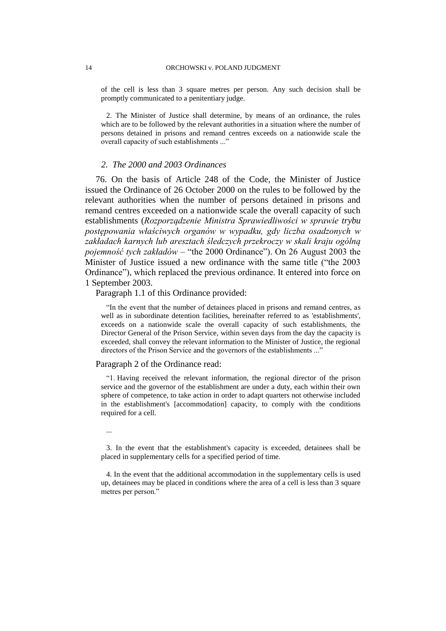of the cell is less than 3 square metres per person. Any such decision shall be promptly communicated to a penitentiary judge.

2. The Minister of Justice shall determine, by means of an ordinance, the rules which are to be followed by the relevant authorities in a situation where the number of persons detained in prisons and remand centres exceeds on a nationwide scale the overall capacity of such establishments ..."

### *2. The 2000 and 2003 Ordinances*

76. On the basis of Article 248 of the Code, the Minister of Justice issued the Ordinance of 26 October 2000 on the rules to be followed by the relevant authorities when the number of persons detained in prisons and remand centres exceeded on a nationwide scale the overall capacity of such establishments (*Rozporządzenie Ministra Sprawiedliwości w sprawie trybu postępowania właściwych organów w wypadku, gdy liczba osadzonych w zakładach karnych lub aresztach śledczych przekroczy w skali kraju ogólną pojemność tych zakładów* – "the 2000 Ordinance"). On 26 August 2003 the Minister of Justice issued a new ordinance with the same title ("the 2003 Ordinance"), which replaced the previous ordinance. It entered into force on 1 September 2003.

Paragraph 1.1 of this Ordinance provided:

"In the event that the number of detainees placed in prisons and remand centres, as well as in subordinate detention facilities, hereinafter referred to as 'establishments', exceeds on a nationwide scale the overall capacity of such establishments, the Director General of the Prison Service, within seven days from the day the capacity is exceeded, shall convey the relevant information to the Minister of Justice, the regional directors of the Prison Service and the governors of the establishments ..."

#### Paragraph 2 of the Ordinance read:

"1. Having received the relevant information, the regional director of the prison service and the governor of the establishment are under a duty, each within their own sphere of competence, to take action in order to adapt quarters not otherwise included in the establishment's [accommodation] capacity, to comply with the conditions required for a cell.

...

3. In the event that the establishment's capacity is exceeded, detainees shall be placed in supplementary cells for a specified period of time.

4. In the event that the additional accommodation in the supplementary cells is used up, detainees may be placed in conditions where the area of a cell is less than 3 square metres per person."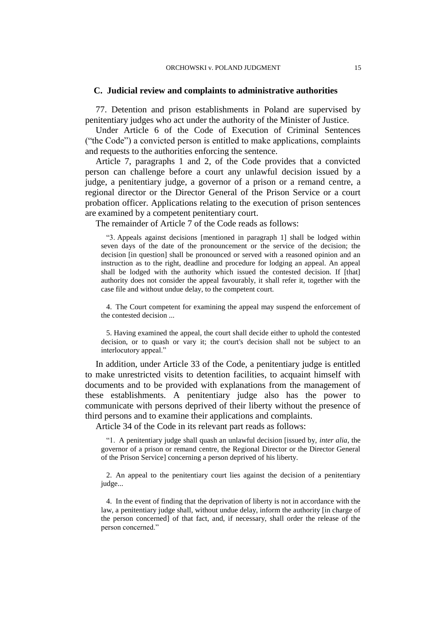## **C. Judicial review and complaints to administrative authorities**

77. Detention and prison establishments in Poland are supervised by penitentiary judges who act under the authority of the Minister of Justice.

Under Article 6 of the Code of Execution of Criminal Sentences ("the Code") a convicted person is entitled to make applications, complaints and requests to the authorities enforcing the sentence.

Article 7, paragraphs 1 and 2, of the Code provides that a convicted person can challenge before a court any unlawful decision issued by a judge, a penitentiary judge, a governor of a prison or a remand centre, a regional director or the Director General of the Prison Service or a court probation officer. Applications relating to the execution of prison sentences are examined by a competent penitentiary court.

The remainder of Article 7 of the Code reads as follows:

"3. Appeals against decisions [mentioned in paragraph 1] shall be lodged within seven days of the date of the pronouncement or the service of the decision; the decision [in question] shall be pronounced or served with a reasoned opinion and an instruction as to the right, deadline and procedure for lodging an appeal. An appeal shall be lodged with the authority which issued the contested decision. If [that] authority does not consider the appeal favourably, it shall refer it, together with the case file and without undue delay, to the competent court.

4. The Court competent for examining the appeal may suspend the enforcement of the contested decision ...

5. Having examined the appeal, the court shall decide either to uphold the contested decision, or to quash or vary it; the court's decision shall not be subject to an interlocutory appeal."

In addition, under Article 33 of the Code, a penitentiary judge is entitled to make unrestricted visits to detention facilities, to acquaint himself with documents and to be provided with explanations from the management of these establishments. A penitentiary judge also has the power to communicate with persons deprived of their liberty without the presence of third persons and to examine their applications and complaints.

Article 34 of the Code in its relevant part reads as follows:

"1. A penitentiary judge shall quash an unlawful decision [issued by, *inter alia*, the governor of a prison or remand centre, the Regional Director or the Director General of the Prison Service] concerning a person deprived of his liberty.

2. An appeal to the penitentiary court lies against the decision of a penitentiary judge...

4. In the event of finding that the deprivation of liberty is not in accordance with the law, a penitentiary judge shall, without undue delay, inform the authority [in charge of the person concerned] of that fact, and, if necessary, shall order the release of the person concerned."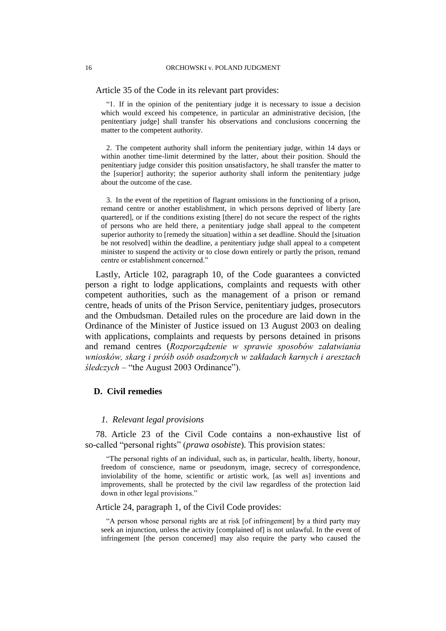Article 35 of the Code in its relevant part provides:

"1. If in the opinion of the penitentiary judge it is necessary to issue a decision which would exceed his competence, in particular an administrative decision, [the penitentiary judge] shall transfer his observations and conclusions concerning the matter to the competent authority.

2. The competent authority shall inform the penitentiary judge, within 14 days or within another time-limit determined by the latter, about their position. Should the penitentiary judge consider this position unsatisfactory, he shall transfer the matter to the [superior] authority; the superior authority shall inform the penitentiary judge about the outcome of the case.

3. In the event of the repetition of flagrant omissions in the functioning of a prison, remand centre or another establishment, in which persons deprived of liberty [are quartered], or if the conditions existing [there] do not secure the respect of the rights of persons who are held there, a penitentiary judge shall appeal to the competent superior authority to [remedy the situation] within a set deadline. Should the [situation be not resolved] within the deadline, a penitentiary judge shall appeal to a competent minister to suspend the activity or to close down entirely or partly the prison, remand centre or establishment concerned."

Lastly, Article 102, paragraph 10, of the Code guarantees a convicted person a right to lodge applications, complaints and requests with other competent authorities, such as the management of a prison or remand centre, heads of units of the Prison Service, penitentiary judges, prosecutors and the Ombudsman. Detailed rules on the procedure are laid down in the Ordinance of the Minister of Justice issued on 13 August 2003 on dealing with applications, complaints and requests by persons detained in prisons and remand centres (*Rozporządzenie w sprawie sposobów załatwiania wniosków, skarg i próśb osób osadzonych w zakładach karnych i aresztach śledczych* – "the August 2003 Ordinance").

## **D. Civil remedies**

#### *1. Relevant legal provisions*

78. Article 23 of the Civil Code contains a non-exhaustive list of so-called "personal rights" (*prawa osobiste*). This provision states:

"The personal rights of an individual, such as, in particular, health, liberty, honour, freedom of conscience, name or pseudonym, image, secrecy of correspondence, inviolability of the home, scientific or artistic work, [as well as] inventions and improvements, shall be protected by the civil law regardless of the protection laid down in other legal provisions."

Article 24, paragraph 1, of the Civil Code provides:

"A person whose personal rights are at risk [of infringement] by a third party may seek an injunction, unless the activity [complained of] is not unlawful. In the event of infringement [the person concerned] may also require the party who caused the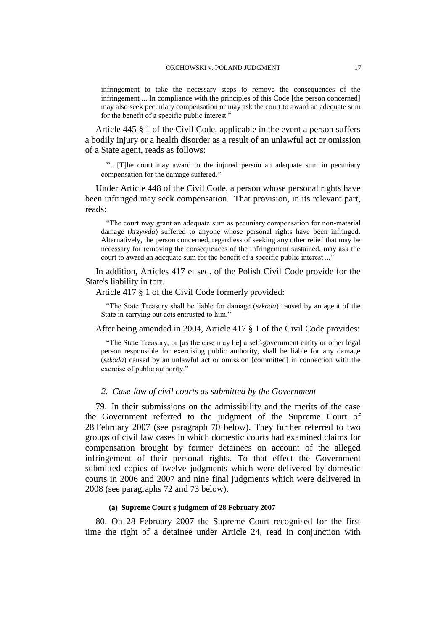infringement to take the necessary steps to remove the consequences of the infringement ... In compliance with the principles of this Code [the person concerned] may also seek pecuniary compensation or may ask the court to award an adequate sum for the benefit of a specific public interest."

Article 445 § 1 of the Civil Code, applicable in the event a person suffers a bodily injury or a health disorder as a result of an unlawful act or omission of a State agent, reads as follows:

"...[T]he court may award to the injured person an adequate sum in pecuniary compensation for the damage suffered."

Under Article 448 of the Civil Code, a person whose personal rights have been infringed may seek compensation. That provision, in its relevant part, reads:

"The court may grant an adequate sum as pecuniary compensation for non-material damage (*krzywda*) suffered to anyone whose personal rights have been infringed. Alternatively, the person concerned, regardless of seeking any other relief that may be necessary for removing the consequences of the infringement sustained, may ask the court to award an adequate sum for the benefit of a specific public interest ..."

In addition, Articles 417 et seq. of the Polish Civil Code provide for the State's liability in tort.

#### Article 417 § 1 of the Civil Code formerly provided:

"The State Treasury shall be liable for damage (*szkoda*) caused by an agent of the State in carrying out acts entrusted to him."

## After being amended in 2004, Article 417 § 1 of the Civil Code provides:

"The State Treasury, or [as the case may be] a self-government entity or other legal person responsible for exercising public authority, shall be liable for any damage (*szkoda*) caused by an unlawful act or omission [committed] in connection with the exercise of public authority."

## *2. Case-law of civil courts as submitted by the Government*

79. In their submissions on the admissibility and the merits of the case the Government referred to the judgment of the Supreme Court of 28 February 2007 (see paragraph 70 below). They further referred to two groups of civil law cases in which domestic courts had examined claims for compensation brought by former detainees on account of the alleged infringement of their personal rights. To that effect the Government submitted copies of twelve judgments which were delivered by domestic courts in 2006 and 2007 and nine final judgments which were delivered in 2008 (see paragraphs 72 and 73 below).

## **(a) Supreme Court's judgment of 28 February 2007**

80. On 28 February 2007 the Supreme Court recognised for the first time the right of a detainee under Article 24, read in conjunction with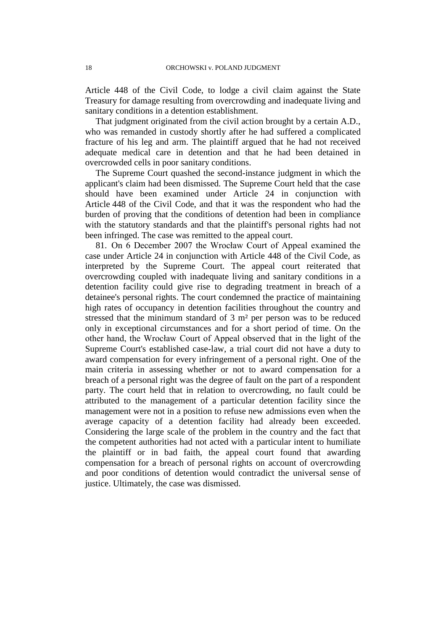Article 448 of the Civil Code, to lodge a civil claim against the State Treasury for damage resulting from overcrowding and inadequate living and sanitary conditions in a detention establishment.

That judgment originated from the civil action brought by a certain A.D., who was remanded in custody shortly after he had suffered a complicated fracture of his leg and arm. The plaintiff argued that he had not received adequate medical care in detention and that he had been detained in overcrowded cells in poor sanitary conditions.

The Supreme Court quashed the second-instance judgment in which the applicant's claim had been dismissed. The Supreme Court held that the case should have been examined under Article 24 in conjunction with Article 448 of the Civil Code, and that it was the respondent who had the burden of proving that the conditions of detention had been in compliance with the statutory standards and that the plaintiff's personal rights had not been infringed. The case was remitted to the appeal court.

81. On 6 December 2007 the Wrocław Court of Appeal examined the case under Article 24 in conjunction with Article 448 of the Civil Code, as interpreted by the Supreme Court. The appeal court reiterated that overcrowding coupled with inadequate living and sanitary conditions in a detention facility could give rise to degrading treatment in breach of a detainee's personal rights. The court condemned the practice of maintaining high rates of occupancy in detention facilities throughout the country and stressed that the minimum standard of 3 m² per person was to be reduced only in exceptional circumstances and for a short period of time. On the other hand, the Wrocław Court of Appeal observed that in the light of the Supreme Court's established case-law, a trial court did not have a duty to award compensation for every infringement of a personal right. One of the main criteria in assessing whether or not to award compensation for a breach of a personal right was the degree of fault on the part of a respondent party. The court held that in relation to overcrowding, no fault could be attributed to the management of a particular detention facility since the management were not in a position to refuse new admissions even when the average capacity of a detention facility had already been exceeded. Considering the large scale of the problem in the country and the fact that the competent authorities had not acted with a particular intent to humiliate the plaintiff or in bad faith, the appeal court found that awarding compensation for a breach of personal rights on account of overcrowding and poor conditions of detention would contradict the universal sense of justice. Ultimately, the case was dismissed.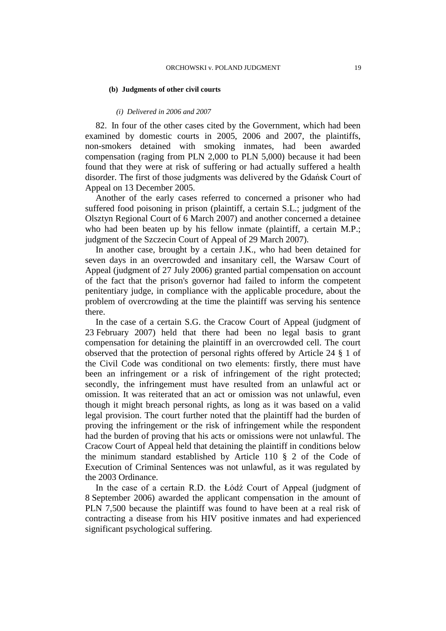#### **(b) Judgments of other civil courts**

#### *(i) Delivered in 2006 and 2007*

82. In four of the other cases cited by the Government, which had been examined by domestic courts in 2005, 2006 and 2007, the plaintiffs, non-smokers detained with smoking inmates, had been awarded compensation (raging from PLN 2,000 to PLN 5,000) because it had been found that they were at risk of suffering or had actually suffered a health disorder. The first of those judgments was delivered by the Gdańsk Court of Appeal on 13 December 2005.

Another of the early cases referred to concerned a prisoner who had suffered food poisoning in prison (plaintiff, a certain S.L.; judgment of the Olsztyn Regional Court of 6 March 2007) and another concerned a detainee who had been beaten up by his fellow inmate (plaintiff, a certain M.P.; judgment of the Szczecin Court of Appeal of 29 March 2007).

In another case, brought by a certain J.K., who had been detained for seven days in an overcrowded and insanitary cell, the Warsaw Court of Appeal (judgment of 27 July 2006) granted partial compensation on account of the fact that the prison's governor had failed to inform the competent penitentiary judge, in compliance with the applicable procedure, about the problem of overcrowding at the time the plaintiff was serving his sentence there.

In the case of a certain S.G. the Cracow Court of Appeal (judgment of 23 February 2007) held that there had been no legal basis to grant compensation for detaining the plaintiff in an overcrowded cell. The court observed that the protection of personal rights offered by Article 24 § 1 of the Civil Code was conditional on two elements: firstly, there must have been an infringement or a risk of infringement of the right protected; secondly, the infringement must have resulted from an unlawful act or omission. It was reiterated that an act or omission was not unlawful, even though it might breach personal rights, as long as it was based on a valid legal provision. The court further noted that the plaintiff had the burden of proving the infringement or the risk of infringement while the respondent had the burden of proving that his acts or omissions were not unlawful. The Cracow Court of Appeal held that detaining the plaintiff in conditions below the minimum standard established by Article 110 § 2 of the Code of Execution of Criminal Sentences was not unlawful, as it was regulated by the 2003 Ordinance.

In the case of a certain R.D. the Łódź Court of Appeal (judgment of 8 September 2006) awarded the applicant compensation in the amount of PLN 7,500 because the plaintiff was found to have been at a real risk of contracting a disease from his HIV positive inmates and had experienced significant psychological suffering.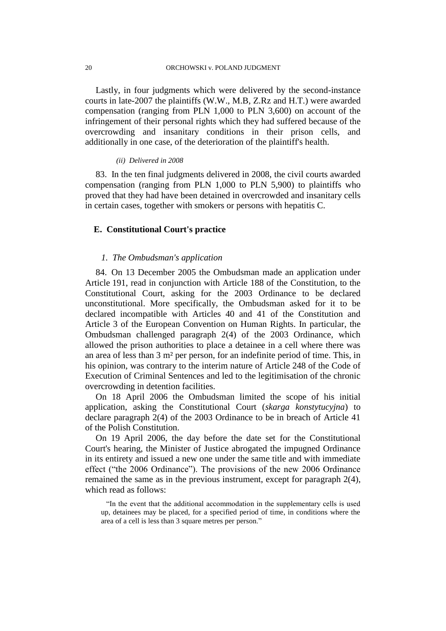Lastly, in four judgments which were delivered by the second-instance courts in late-2007 the plaintiffs (W.W., M.B, Z.Rz and H.T.) were awarded compensation (ranging from PLN 1,000 to PLN 3,600) on account of the infringement of their personal rights which they had suffered because of the overcrowding and insanitary conditions in their prison cells, and additionally in one case, of the deterioration of the plaintiff's health.

### *(ii) Delivered in 2008*

83. In the ten final judgments delivered in 2008, the civil courts awarded compensation (ranging from PLN 1,000 to PLN 5,900) to plaintiffs who proved that they had have been detained in overcrowded and insanitary cells in certain cases, together with smokers or persons with hepatitis C.

## **E. Constitutional Court's practice**

## *1. The Ombudsman's application*

84. On 13 December 2005 the Ombudsman made an application under Article 191, read in conjunction with Article 188 of the Constitution, to the Constitutional Court, asking for the 2003 Ordinance to be declared unconstitutional. More specifically, the Ombudsman asked for it to be declared incompatible with Articles 40 and 41 of the Constitution and Article 3 of the European Convention on Human Rights. In particular, the Ombudsman challenged paragraph 2(4) of the 2003 Ordinance, which allowed the prison authorities to place a detainee in a cell where there was an area of less than 3 m² per person, for an indefinite period of time. This, in his opinion, was contrary to the interim nature of Article 248 of the Code of Execution of Criminal Sentences and led to the legitimisation of the chronic overcrowding in detention facilities.

On 18 April 2006 the Ombudsman limited the scope of his initial application, asking the Constitutional Court (*skarga konstytucyjna*) to declare paragraph 2(4) of the 2003 Ordinance to be in breach of Article 41 of the Polish Constitution.

On 19 April 2006, the day before the date set for the Constitutional Court's hearing, the Minister of Justice abrogated the impugned Ordinance in its entirety and issued a new one under the same title and with immediate effect ("the 2006 Ordinance"). The provisions of the new 2006 Ordinance remained the same as in the previous instrument, except for paragraph 2(4), which read as follows:

"In the event that the additional accommodation in the supplementary cells is used up, detainees may be placed, for a specified period of time, in conditions where the area of a cell is less than 3 square metres per person."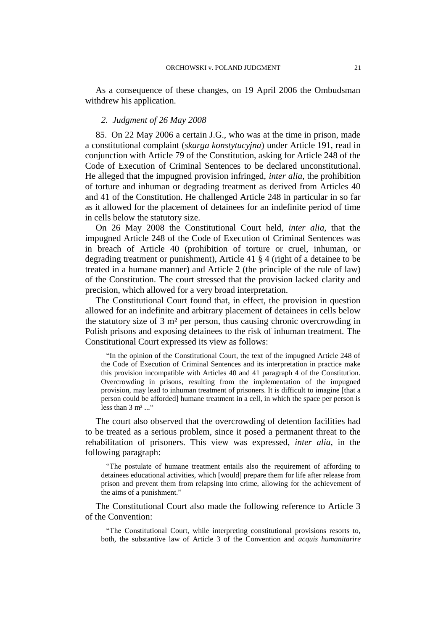As a consequence of these changes, on 19 April 2006 the Ombudsman withdrew his application.

## *2. Judgment of 26 May 2008*

85. On 22 May 2006 a certain J.G., who was at the time in prison, made a constitutional complaint (*skarga konstytucyjna*) under Article 191, read in conjunction with Article 79 of the Constitution, asking for Article 248 of the Code of Execution of Criminal Sentences to be declared unconstitutional. He alleged that the impugned provision infringed, *inter alia*, the prohibition of torture and inhuman or degrading treatment as derived from Articles 40 and 41 of the Constitution. He challenged Article 248 in particular in so far as it allowed for the placement of detainees for an indefinite period of time in cells below the statutory size.

On 26 May 2008 the Constitutional Court held, *inter alia,* that the impugned Article 248 of the Code of Execution of Criminal Sentences was in breach of Article 40 (prohibition of torture or cruel, inhuman, or degrading treatment or punishment), Article 41 § 4 (right of a detainee to be treated in a humane manner) and Article 2 (the principle of the rule of law) of the Constitution. The court stressed that the provision lacked clarity and precision, which allowed for a very broad interpretation.

The Constitutional Court found that, in effect, the provision in question allowed for an indefinite and arbitrary placement of detainees in cells below the statutory size of 3 m² per person, thus causing chronic overcrowding in Polish prisons and exposing detainees to the risk of inhuman treatment. The Constitutional Court expressed its view as follows:

"In the opinion of the Constitutional Court, the text of the impugned Article 248 of the Code of Execution of Criminal Sentences and its interpretation in practice make this provision incompatible with Articles 40 and 41 paragraph 4 of the Constitution. Overcrowding in prisons, resulting from the implementation of the impugned provision, may lead to inhuman treatment of prisoners. It is difficult to imagine [that a person could be afforded] humane treatment in a cell, in which the space per person is less than  $3 \text{ m}^2$ ..."

The court also observed that the overcrowding of detention facilities had to be treated as a serious problem, since it posed a permanent threat to the rehabilitation of prisoners. This view was expressed, *inter alia*, in the following paragraph:

"The postulate of humane treatment entails also the requirement of affording to detainees educational activities, which [would] prepare them for life after release from prison and prevent them from relapsing into crime, allowing for the achievement of the aims of a punishment."

The Constitutional Court also made the following reference to Article 3 of the Convention:

"The Constitutional Court, while interpreting constitutional provisions resorts to, both, the substantive law of Article 3 of the Convention and *acquis humanitarire*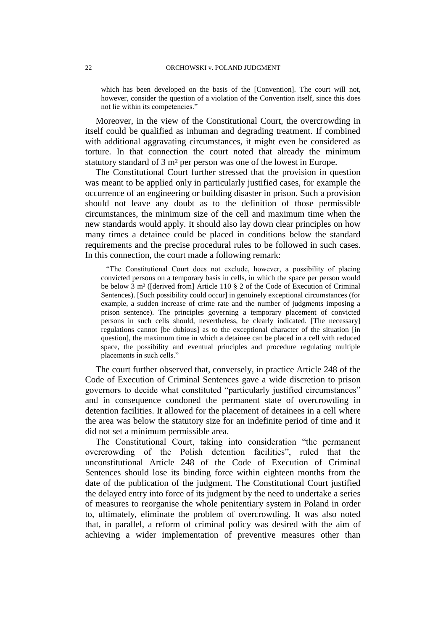which has been developed on the basis of the [Convention]. The court will not, however, consider the question of a violation of the Convention itself, since this does not lie within its competencies."

Moreover, in the view of the Constitutional Court, the overcrowding in itself could be qualified as inhuman and degrading treatment. If combined with additional aggravating circumstances, it might even be considered as torture. In that connection the court noted that already the minimum statutory standard of 3 m² per person was one of the lowest in Europe.

The Constitutional Court further stressed that the provision in question was meant to be applied only in particularly justified cases, for example the occurrence of an engineering or building disaster in prison. Such a provision should not leave any doubt as to the definition of those permissible circumstances, the minimum size of the cell and maximum time when the new standards would apply. It should also lay down clear principles on how many times a detainee could be placed in conditions below the standard requirements and the precise procedural rules to be followed in such cases. In this connection, the court made a following remark:

"The Constitutional Court does not exclude, however, a possibility of placing convicted persons on a temporary basis in cells, in which the space per person would be below 3 m² ([derived from] Article 110 § 2 of the Code of Execution of Criminal Sentences). [Such possibility could occur] in genuinely exceptional circumstances (for example, a sudden increase of crime rate and the number of judgments imposing a prison sentence). The principles governing a temporary placement of convicted persons in such cells should, nevertheless, be clearly indicated. [The necessary] regulations cannot [be dubious] as to the exceptional character of the situation [in question], the maximum time in which a detainee can be placed in a cell with reduced space, the possibility and eventual principles and procedure regulating multiple placements in such cells."

The court further observed that, conversely, in practice Article 248 of the Code of Execution of Criminal Sentences gave a wide discretion to prison governors to decide what constituted "particularly justified circumstances" and in consequence condoned the permanent state of overcrowding in detention facilities. It allowed for the placement of detainees in a cell where the area was below the statutory size for an indefinite period of time and it did not set a minimum permissible area.

The Constitutional Court, taking into consideration "the permanent overcrowding of the Polish detention facilities", ruled that the unconstitutional Article 248 of the Code of Execution of Criminal Sentences should lose its binding force within eighteen months from the date of the publication of the judgment. The Constitutional Court justified the delayed entry into force of its judgment by the need to undertake a series of measures to reorganise the whole penitentiary system in Poland in order to, ultimately, eliminate the problem of overcrowding. It was also noted that, in parallel, a reform of criminal policy was desired with the aim of achieving a wider implementation of preventive measures other than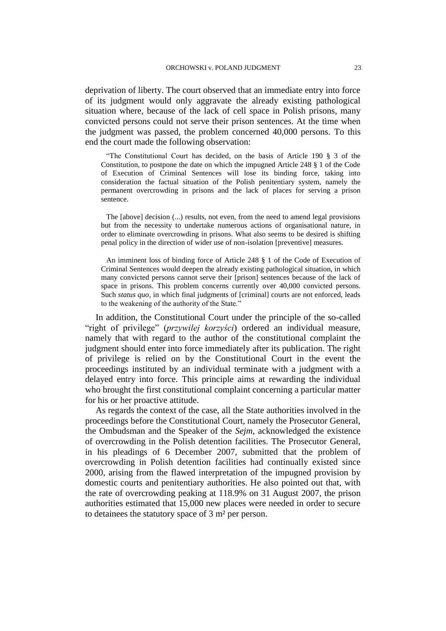deprivation of liberty. The court observed that an immediate entry into force of its judgment would only aggravate the already existing pathological situation where, because of the lack of cell space in Polish prisons, many convicted persons could not serve their prison sentences. At the time when the judgment was passed, the problem concerned 40,000 persons. To this end the court made the following observation:

"The Constitutional Court has decided, on the basis of Article 190 § 3 of the Constitution, to postpone the date on which the impugned Article 248 § 1 of the Code of Execution of Criminal Sentences will lose its binding force, taking into consideration the factual situation of the Polish penitentiary system, namely the permanent overcrowding in prisons and the lack of places for serving a prison sentence.

The [above] decision (...) results, not even, from the need to amend legal provisions but from the necessity to undertake numerous actions of organisational nature, in order to eliminate overcrowding in prisons. What also seems to be desired is shifting penal policy in the direction of wider use of non-isolation [preventive] measures.

An imminent loss of binding force of Article 248 § 1 of the Code of Execution of Criminal Sentences would deepen the already existing pathological situation, in which many convicted persons cannot serve their [prison] sentences because of the lack of space in prisons. This problem concerns currently over 40,000 convicted persons. Such *status quo*, in which final judgments of [criminal] courts are not enforced, leads to the weakening of the authority of the State."

In addition, the Constitutional Court under the principle of the so-called "right of privilege" (*przywilej korzyści*) ordered an individual measure, namely that with regard to the author of the constitutional complaint the judgment should enter into force immediately after its publication. The right of privilege is relied on by the Constitutional Court in the event the proceedings instituted by an individual terminate with a judgment with a delayed entry into force. This principle aims at rewarding the individual who brought the first constitutional complaint concerning a particular matter for his or her proactive attitude.

As regards the context of the case, all the State authorities involved in the proceedings before the Constitutional Court, namely the Prosecutor General, the Ombudsman and the Speaker of the *Sejm*, acknowledged the existence of overcrowding in the Polish detention facilities. The Prosecutor General, in his pleadings of 6 December 2007, submitted that the problem of overcrowding in Polish detention facilities had continually existed since 2000, arising from the flawed interpretation of the impugned provision by domestic courts and penitentiary authorities. He also pointed out that, with the rate of overcrowding peaking at 118.9% on 31 August 2007, the prison authorities estimated that 15,000 new places were needed in order to secure to detainees the statutory space of 3 m² per person.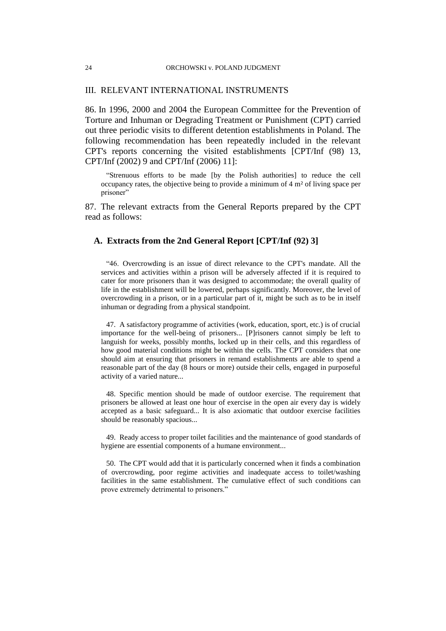## III. RELEVANT INTERNATIONAL INSTRUMENTS

86. In 1996, 2000 and 2004 the European Committee for the Prevention of Torture and Inhuman or Degrading Treatment or Punishment (CPT) carried out three periodic visits to different detention establishments in Poland. The following recommendation has been repeatedly included in the relevant CPT's reports concerning the visited establishments [CPT/Inf (98) 13, CPT/Inf (2002) 9 and CPT/Inf (2006) 11]:

"Strenuous efforts to be made [by the Polish authorities] to reduce the cell occupancy rates, the objective being to provide a minimum of 4 m² of living space per prisoner"

87. The relevant extracts from the General Reports prepared by the CPT read as follows:

## **A. Extracts from the 2nd General Report [CPT/Inf (92) 3]**

"46. Overcrowding is an issue of direct relevance to the CPT's mandate. All the services and activities within a prison will be adversely affected if it is required to cater for more prisoners than it was designed to accommodate; the overall quality of life in the establishment will be lowered, perhaps significantly. Moreover, the level of overcrowding in a prison, or in a particular part of it, might be such as to be in itself inhuman or degrading from a physical standpoint.

47. A satisfactory programme of activities (work, education, sport, etc.) is of crucial importance for the well-being of prisoners... [P]risoners cannot simply be left to languish for weeks, possibly months, locked up in their cells, and this regardless of how good material conditions might be within the cells. The CPT considers that one should aim at ensuring that prisoners in remand establishments are able to spend a reasonable part of the day (8 hours or more) outside their cells, engaged in purposeful activity of a varied nature...

48. Specific mention should be made of outdoor exercise. The requirement that prisoners be allowed at least one hour of exercise in the open air every day is widely accepted as a basic safeguard... It is also axiomatic that outdoor exercise facilities should be reasonably spacious...

49. Ready access to proper toilet facilities and the maintenance of good standards of hygiene are essential components of a humane environment...

50. The CPT would add that it is particularly concerned when it finds a combination of overcrowding, poor regime activities and inadequate access to toilet/washing facilities in the same establishment. The cumulative effect of such conditions can prove extremely detrimental to prisoners."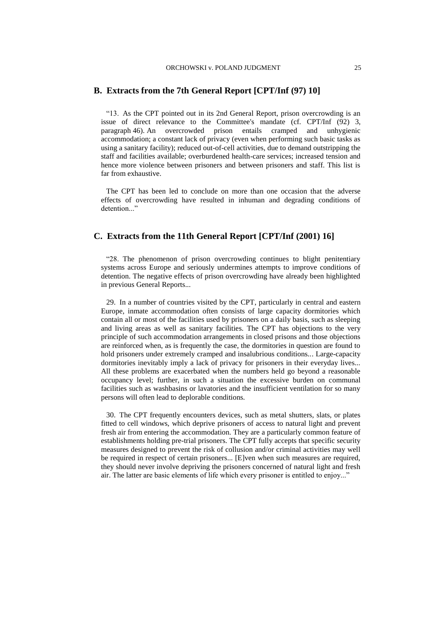## **B. Extracts from the 7th General Report [CPT/Inf (97) 10]**

"13. As the CPT pointed out in its 2nd General Report, prison overcrowding is an issue of direct relevance to the Committee's mandate (cf. CPT/Inf (92) 3, paragraph 46). An overcrowded prison entails cramped and unhygienic accommodation; a constant lack of privacy (even when performing such basic tasks as using a sanitary facility); reduced out-of-cell activities, due to demand outstripping the staff and facilities available; overburdened health-care services; increased tension and hence more violence between prisoners and between prisoners and staff. This list is far from exhaustive.

The CPT has been led to conclude on more than one occasion that the adverse effects of overcrowding have resulted in inhuman and degrading conditions of detention..."

## **C. Extracts from the 11th General Report [CPT/Inf (2001) 16]**

"28. The phenomenon of prison overcrowding continues to blight penitentiary systems across Europe and seriously undermines attempts to improve conditions of detention. The negative effects of prison overcrowding have already been highlighted in previous General Reports...

29. In a number of countries visited by the CPT, particularly in central and eastern Europe, inmate accommodation often consists of large capacity dormitories which contain all or most of the facilities used by prisoners on a daily basis, such as sleeping and living areas as well as sanitary facilities. The CPT has objections to the very principle of such accommodation arrangements in closed prisons and those objections are reinforced when, as is frequently the case, the dormitories in question are found to hold prisoners under extremely cramped and insalubrious conditions... Large-capacity dormitories inevitably imply a lack of privacy for prisoners in their everyday lives... All these problems are exacerbated when the numbers held go beyond a reasonable occupancy level; further, in such a situation the excessive burden on communal facilities such as washbasins or lavatories and the insufficient ventilation for so many persons will often lead to deplorable conditions.

30. The CPT frequently encounters devices, such as metal shutters, slats, or plates fitted to cell windows, which deprive prisoners of access to natural light and prevent fresh air from entering the accommodation. They are a particularly common feature of establishments holding pre-trial prisoners. The CPT fully accepts that specific security measures designed to prevent the risk of collusion and/or criminal activities may well be required in respect of certain prisoners... [E]ven when such measures are required, they should never involve depriving the prisoners concerned of natural light and fresh air. The latter are basic elements of life which every prisoner is entitled to enjoy..."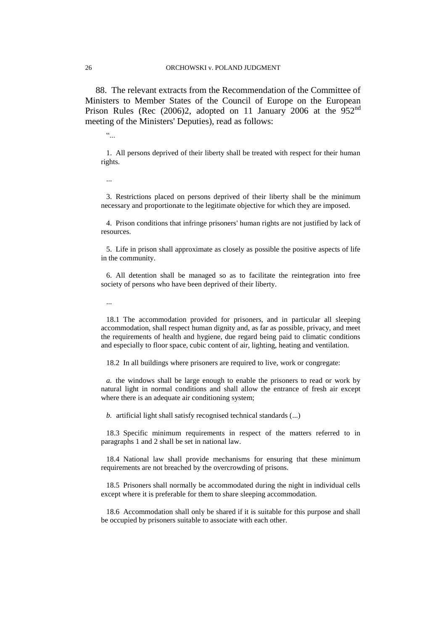88. The relevant extracts from the Recommendation of the Committee of Ministers to Member States of the Council of Europe on the European Prison Rules (Rec  $(2006)$ 2, adopted on 11 January 2006 at the 952<sup>nd</sup> meeting of the Ministers' Deputies), read as follows:

 $\ddot{\cdot}$  ...

1. All persons deprived of their liberty shall be treated with respect for their human rights.

...

3. Restrictions placed on persons deprived of their liberty shall be the minimum necessary and proportionate to the legitimate objective for which they are imposed.

4. Prison conditions that infringe prisoners' human rights are not justified by lack of resources.

5. Life in prison shall approximate as closely as possible the positive aspects of life in the community.

6. All detention shall be managed so as to facilitate the reintegration into free society of persons who have been deprived of their liberty.

...

18.1 The accommodation provided for prisoners, and in particular all sleeping accommodation, shall respect human dignity and, as far as possible, privacy, and meet the requirements of health and hygiene, due regard being paid to climatic conditions and especially to floor space, cubic content of air, lighting, heating and ventilation.

18.2 In all buildings where prisoners are required to live, work or congregate:

*a.* the windows shall be large enough to enable the prisoners to read or work by natural light in normal conditions and shall allow the entrance of fresh air except where there is an adequate air conditioning system;

*b.* artificial light shall satisfy recognised technical standards (...)

18.3 Specific minimum requirements in respect of the matters referred to in paragraphs 1 and 2 shall be set in national law.

18.4 National law shall provide mechanisms for ensuring that these minimum requirements are not breached by the overcrowding of prisons.

18.5 Prisoners shall normally be accommodated during the night in individual cells except where it is preferable for them to share sleeping accommodation.

18.6 Accommodation shall only be shared if it is suitable for this purpose and shall be occupied by prisoners suitable to associate with each other.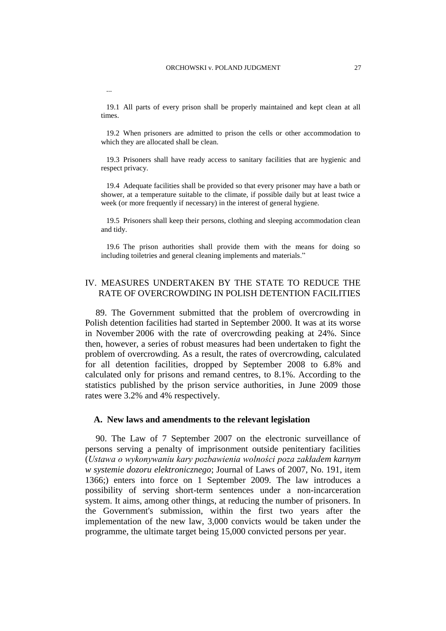19.1 All parts of every prison shall be properly maintained and kept clean at all times.

19.2 When prisoners are admitted to prison the cells or other accommodation to which they are allocated shall be clean.

19.3 Prisoners shall have ready access to sanitary facilities that are hygienic and respect privacy.

19.4 Adequate facilities shall be provided so that every prisoner may have a bath or shower, at a temperature suitable to the climate, if possible daily but at least twice a week (or more frequently if necessary) in the interest of general hygiene.

19.5 Prisoners shall keep their persons, clothing and sleeping accommodation clean and tidy.

19.6 The prison authorities shall provide them with the means for doing so including toiletries and general cleaning implements and materials."

## IV. MEASURES UNDERTAKEN BY THE STATE TO REDUCE THE RATE OF OVERCROWDING IN POLISH DETENTION FACILITIES

89. The Government submitted that the problem of overcrowding in Polish detention facilities had started in September 2000. It was at its worse in November 2006 with the rate of overcrowding peaking at 24%. Since then, however, a series of robust measures had been undertaken to fight the problem of overcrowding. As a result, the rates of overcrowding, calculated for all detention facilities, dropped by September 2008 to 6.8% and calculated only for prisons and remand centres, to 8.1%. According to the statistics published by the prison service authorities, in June 2009 those rates were 3.2% and 4% respectively.

### **A. New laws and amendments to the relevant legislation**

90. The Law of 7 September 2007 on the electronic surveillance of persons serving a penalty of imprisonment outside penitentiary facilities (*Ustawa o wykonywaniu kary pozbawienia wolności poza zakładem karnym w systemie dozoru elektronicznego*; Journal of Laws of 2007, No. 191, item 1366;) enters into force on 1 September 2009. The law introduces a possibility of serving short-term sentences under a non-incarceration system. It aims, among other things, at reducing the number of prisoners. In the Government's submission, within the first two years after the implementation of the new law, 3,000 convicts would be taken under the programme, the ultimate target being 15,000 convicted persons per year.

...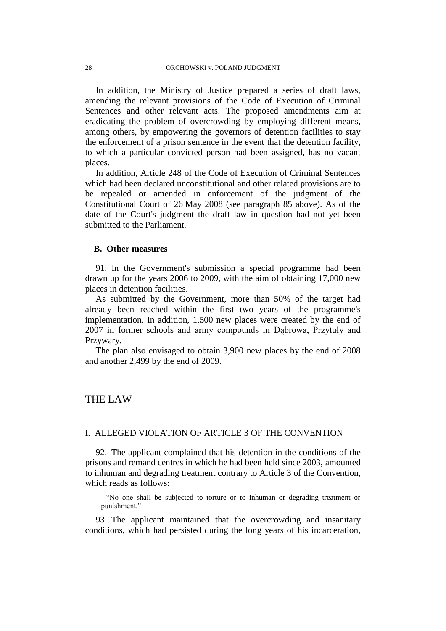In addition, the Ministry of Justice prepared a series of draft laws, amending the relevant provisions of the Code of Execution of Criminal Sentences and other relevant acts. The proposed amendments aim at eradicating the problem of overcrowding by employing different means, among others, by empowering the governors of detention facilities to stay the enforcement of a prison sentence in the event that the detention facility, to which a particular convicted person had been assigned, has no vacant places.

In addition, Article 248 of the Code of Execution of Criminal Sentences which had been declared unconstitutional and other related provisions are to be repealed or amended in enforcement of the judgment of the Constitutional Court of 26 May 2008 (see paragraph 85 above). As of the date of the Court's judgment the draft law in question had not yet been submitted to the Parliament.

## **B. Other measures**

91. In the Government's submission a special programme had been drawn up for the years 2006 to 2009, with the aim of obtaining 17,000 new places in detention facilities.

As submitted by the Government, more than 50% of the target had already been reached within the first two years of the programme's implementation. In addition, 1,500 new places were created by the end of 2007 in former schools and army compounds in Dąbrowa, Przytuły and Przywary.

The plan also envisaged to obtain 3,900 new places by the end of 2008 and another 2,499 by the end of 2009.

## THE LAW

## I. ALLEGED VIOLATION OF ARTICLE 3 OF THE CONVENTION

92. The applicant complained that his detention in the conditions of the prisons and remand centres in which he had been held since 2003, amounted to inhuman and degrading treatment contrary to Article 3 of the Convention, which reads as follows:

"No one shall be subjected to torture or to inhuman or degrading treatment or punishment."

93. The applicant maintained that the overcrowding and insanitary conditions, which had persisted during the long years of his incarceration,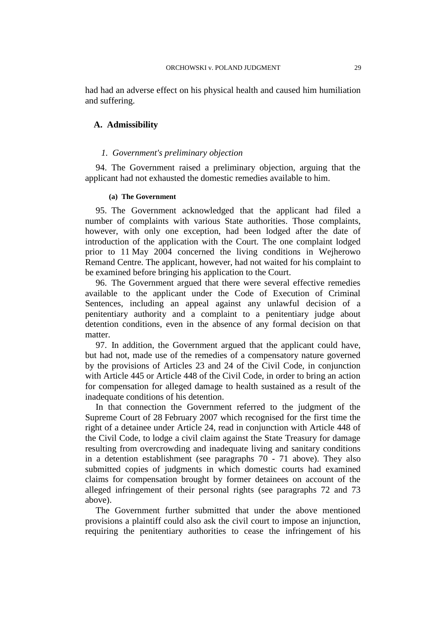had had an adverse effect on his physical health and caused him humiliation and suffering.

## **A. Admissibility**

## *1. Government's preliminary objection*

94. The Government raised a preliminary objection, arguing that the applicant had not exhausted the domestic remedies available to him.

#### **(a) The Government**

95. The Government acknowledged that the applicant had filed a number of complaints with various State authorities. Those complaints, however, with only one exception, had been lodged after the date of introduction of the application with the Court. The one complaint lodged prior to 11 May 2004 concerned the living conditions in Wejherowo Remand Centre. The applicant, however, had not waited for his complaint to be examined before bringing his application to the Court.

96. The Government argued that there were several effective remedies available to the applicant under the Code of Execution of Criminal Sentences, including an appeal against any unlawful decision of a penitentiary authority and a complaint to a penitentiary judge about detention conditions, even in the absence of any formal decision on that matter.

97. In addition, the Government argued that the applicant could have, but had not, made use of the remedies of a compensatory nature governed by the provisions of Articles 23 and 24 of the Civil Code, in conjunction with Article 445 or Article 448 of the Civil Code, in order to bring an action for compensation for alleged damage to health sustained as a result of the inadequate conditions of his detention.

In that connection the Government referred to the judgment of the Supreme Court of 28 February 2007 which recognised for the first time the right of a detainee under Article 24, read in conjunction with Article 448 of the Civil Code, to lodge a civil claim against the State Treasury for damage resulting from overcrowding and inadequate living and sanitary conditions in a detention establishment (see paragraphs 70 - 71 above). They also submitted copies of judgments in which domestic courts had examined claims for compensation brought by former detainees on account of the alleged infringement of their personal rights (see paragraphs 72 and 73 above).

The Government further submitted that under the above mentioned provisions a plaintiff could also ask the civil court to impose an injunction, requiring the penitentiary authorities to cease the infringement of his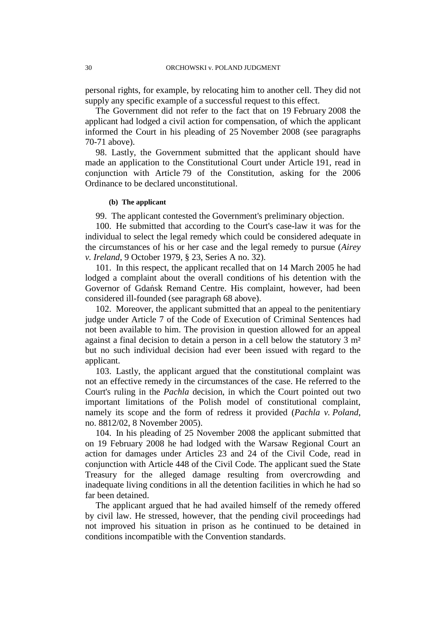personal rights, for example, by relocating him to another cell. They did not supply any specific example of a successful request to this effect.

The Government did not refer to the fact that on 19 February 2008 the applicant had lodged a civil action for compensation, of which the applicant informed the Court in his pleading of 25 November 2008 (see paragraphs 70-71 above).

98. Lastly, the Government submitted that the applicant should have made an application to the Constitutional Court under Article 191, read in conjunction with Article 79 of the Constitution, asking for the 2006 Ordinance to be declared unconstitutional.

#### **(b) The applicant**

99. The applicant contested the Government's preliminary objection.

100. He submitted that according to the Court's case-law it was for the individual to select the legal remedy which could be considered adequate in the circumstances of his or her case and the legal remedy to pursue (*Airey v. Ireland*, 9 October 1979, § 23, Series A no. 32).

101. In this respect, the applicant recalled that on 14 March 2005 he had lodged a complaint about the overall conditions of his detention with the Governor of Gdańsk Remand Centre. His complaint, however, had been considered ill-founded (see paragraph 68 above).

102. Moreover, the applicant submitted that an appeal to the penitentiary judge under Article 7 of the Code of Execution of Criminal Sentences had not been available to him. The provision in question allowed for an appeal against a final decision to detain a person in a cell below the statutory 3 m² but no such individual decision had ever been issued with regard to the applicant.

103. Lastly, the applicant argued that the constitutional complaint was not an effective remedy in the circumstances of the case. He referred to the Court's ruling in the *Pachla* decision, in which the Court pointed out two important limitations of the Polish model of constitutional complaint, namely its scope and the form of redress it provided (*Pachla v. Poland*, no. 8812/02, 8 November 2005).

104. In his pleading of 25 November 2008 the applicant submitted that on 19 February 2008 he had lodged with the Warsaw Regional Court an action for damages under Articles 23 and 24 of the Civil Code, read in conjunction with Article 448 of the Civil Code. The applicant sued the State Treasury for the alleged damage resulting from overcrowding and inadequate living conditions in all the detention facilities in which he had so far been detained.

The applicant argued that he had availed himself of the remedy offered by civil law. He stressed, however, that the pending civil proceedings had not improved his situation in prison as he continued to be detained in conditions incompatible with the Convention standards.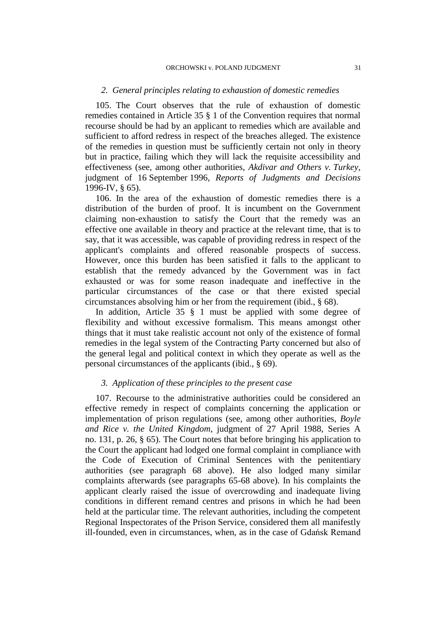#### ORCHOWSKI v. POLAND JUDGMENT 31

## *2. General principles relating to exhaustion of domestic remedies*

105. The Court observes that the rule of exhaustion of domestic remedies contained in Article 35 § 1 of the Convention requires that normal recourse should be had by an applicant to remedies which are available and sufficient to afford redress in respect of the breaches alleged. The existence of the remedies in question must be sufficiently certain not only in theory but in practice, failing which they will lack the requisite accessibility and effectiveness (see, among other authorities, *Akdivar and Others v. Turkey*, judgment of 16 September 1996, *Reports of Judgments and Decisions*  1996-IV, § 65).

106. In the area of the exhaustion of domestic remedies there is a distribution of the burden of proof. It is incumbent on the Government claiming non-exhaustion to satisfy the Court that the remedy was an effective one available in theory and practice at the relevant time, that is to say, that it was accessible, was capable of providing redress in respect of the applicant's complaints and offered reasonable prospects of success. However, once this burden has been satisfied it falls to the applicant to establish that the remedy advanced by the Government was in fact exhausted or was for some reason inadequate and ineffective in the particular circumstances of the case or that there existed special circumstances absolving him or her from the requirement (ibid., § 68).

In addition, Article 35 § 1 must be applied with some degree of flexibility and without excessive formalism. This means amongst other things that it must take realistic account not only of the existence of formal remedies in the legal system of the Contracting Party concerned but also of the general legal and political context in which they operate as well as the personal circumstances of the applicants (ibid., § 69).

## *3. Application of these principles to the present case*

107. Recourse to the administrative authorities could be considered an effective remedy in respect of complaints concerning the application or implementation of prison regulations (see, among other authorities, *Boyle and Rice v. the United Kingdom*, judgment of 27 April 1988, Series A no. 131, p. 26, § 65). The Court notes that before bringing his application to the Court the applicant had lodged one formal complaint in compliance with the Code of Execution of Criminal Sentences with the penitentiary authorities (see paragraph 68 above). He also lodged many similar complaints afterwards (see paragraphs 65-68 above). In his complaints the applicant clearly raised the issue of overcrowding and inadequate living conditions in different remand centres and prisons in which he had been held at the particular time. The relevant authorities, including the competent Regional Inspectorates of the Prison Service, considered them all manifestly ill-founded, even in circumstances, when, as in the case of Gdańsk Remand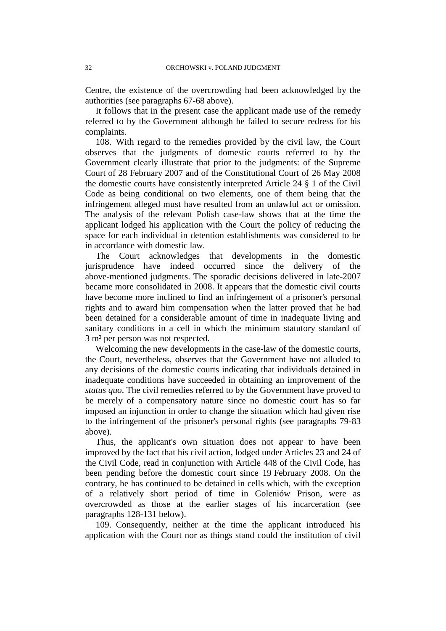Centre, the existence of the overcrowding had been acknowledged by the authorities (see paragraphs 67-68 above).

It follows that in the present case the applicant made use of the remedy referred to by the Government although he failed to secure redress for his complaints.

108. With regard to the remedies provided by the civil law, the Court observes that the judgments of domestic courts referred to by the Government clearly illustrate that prior to the judgments: of the Supreme Court of 28 February 2007 and of the Constitutional Court of 26 May 2008 the domestic courts have consistently interpreted Article 24 § 1 of the Civil Code as being conditional on two elements, one of them being that the infringement alleged must have resulted from an unlawful act or omission. The analysis of the relevant Polish case-law shows that at the time the applicant lodged his application with the Court the policy of reducing the space for each individual in detention establishments was considered to be in accordance with domestic law.

The Court acknowledges that developments in the domestic jurisprudence have indeed occurred since the delivery of the above-mentioned judgments. The sporadic decisions delivered in late-2007 became more consolidated in 2008. It appears that the domestic civil courts have become more inclined to find an infringement of a prisoner's personal rights and to award him compensation when the latter proved that he had been detained for a considerable amount of time in inadequate living and sanitary conditions in a cell in which the minimum statutory standard of 3 m² per person was not respected.

Welcoming the new developments in the case-law of the domestic courts, the Court, nevertheless, observes that the Government have not alluded to any decisions of the domestic courts indicating that individuals detained in inadequate conditions have succeeded in obtaining an improvement of the *status quo*. The civil remedies referred to by the Government have proved to be merely of a compensatory nature since no domestic court has so far imposed an injunction in order to change the situation which had given rise to the infringement of the prisoner's personal rights (see paragraphs 79-83 above).

Thus, the applicant's own situation does not appear to have been improved by the fact that his civil action, lodged under Articles 23 and 24 of the Civil Code, read in conjunction with Article 448 of the Civil Code, has been pending before the domestic court since 19 February 2008. On the contrary, he has continued to be detained in cells which, with the exception of a relatively short period of time in Goleniów Prison, were as overcrowded as those at the earlier stages of his incarceration (see paragraphs 128-131 below).

109. Consequently, neither at the time the applicant introduced his application with the Court nor as things stand could the institution of civil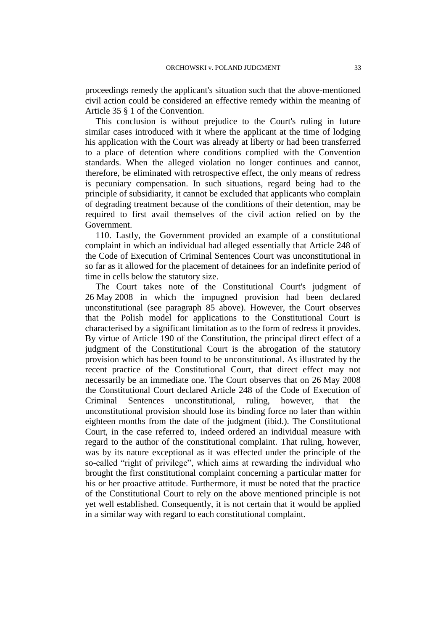proceedings remedy the applicant's situation such that the above-mentioned civil action could be considered an effective remedy within the meaning of Article 35 § 1 of the Convention.

This conclusion is without prejudice to the Court's ruling in future similar cases introduced with it where the applicant at the time of lodging his application with the Court was already at liberty or had been transferred to a place of detention where conditions complied with the Convention standards. When the alleged violation no longer continues and cannot, therefore, be eliminated with retrospective effect, the only means of redress is pecuniary compensation. In such situations, regard being had to the principle of subsidiarity, it cannot be excluded that applicants who complain of degrading treatment because of the conditions of their detention, may be required to first avail themselves of the civil action relied on by the Government.

110. Lastly, the Government provided an example of a constitutional complaint in which an individual had alleged essentially that Article 248 of the Code of Execution of Criminal Sentences Court was unconstitutional in so far as it allowed for the placement of detainees for an indefinite period of time in cells below the statutory size.

The Court takes note of the Constitutional Court's judgment of 26 May 2008 in which the impugned provision had been declared unconstitutional (see paragraph 85 above). However, the Court observes that the Polish model for applications to the Constitutional Court is characterised by a significant limitation as to the form of redress it provides. By virtue of Article 190 of the Constitution, the principal direct effect of a judgment of the Constitutional Court is the abrogation of the statutory provision which has been found to be unconstitutional. As illustrated by the recent practice of the Constitutional Court, that direct effect may not necessarily be an immediate one. The Court observes that on 26 May 2008 the Constitutional Court declared Article 248 of the Code of Execution of Criminal Sentences unconstitutional, ruling, however, that the unconstitutional provision should lose its binding force no later than within eighteen months from the date of the judgment (ibid.). The Constitutional Court, in the case referred to, indeed ordered an individual measure with regard to the author of the constitutional complaint. That ruling, however, was by its nature exceptional as it was effected under the principle of the so-called "right of privilege", which aims at rewarding the individual who brought the first constitutional complaint concerning a particular matter for his or her proactive attitude. Furthermore, it must be noted that the practice of the Constitutional Court to rely on the above mentioned principle is not yet well established. Consequently, it is not certain that it would be applied in a similar way with regard to each constitutional complaint.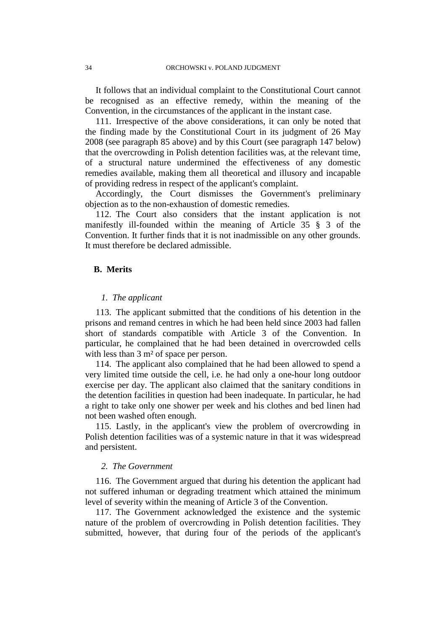It follows that an individual complaint to the Constitutional Court cannot be recognised as an effective remedy, within the meaning of the Convention, in the circumstances of the applicant in the instant case.

111. Irrespective of the above considerations, it can only be noted that the finding made by the Constitutional Court in its judgment of 26 May 2008 (see paragraph 85 above) and by this Court (see paragraph 147 below) that the overcrowding in Polish detention facilities was, at the relevant time, of a structural nature undermined the effectiveness of any domestic remedies available, making them all theoretical and illusory and incapable of providing redress in respect of the applicant's complaint.

Accordingly, the Court dismisses the Government's preliminary objection as to the non-exhaustion of domestic remedies.

112. The Court also considers that the instant application is not manifestly ill-founded within the meaning of Article 35 § 3 of the Convention. It further finds that it is not inadmissible on any other grounds. It must therefore be declared admissible.

## **B. Merits**

#### *1. The applicant*

113. The applicant submitted that the conditions of his detention in the prisons and remand centres in which he had been held since 2003 had fallen short of standards compatible with Article 3 of the Convention. In particular, he complained that he had been detained in overcrowded cells with less than 3 m<sup>2</sup> of space per person.

114. The applicant also complained that he had been allowed to spend a very limited time outside the cell, i.e. he had only a one-hour long outdoor exercise per day. The applicant also claimed that the sanitary conditions in the detention facilities in question had been inadequate. In particular, he had a right to take only one shower per week and his clothes and bed linen had not been washed often enough.

115. Lastly, in the applicant's view the problem of overcrowding in Polish detention facilities was of a systemic nature in that it was widespread and persistent.

## *2. The Government*

116. The Government argued that during his detention the applicant had not suffered inhuman or degrading treatment which attained the minimum level of severity within the meaning of Article 3 of the Convention.

117. The Government acknowledged the existence and the systemic nature of the problem of overcrowding in Polish detention facilities. They submitted, however, that during four of the periods of the applicant's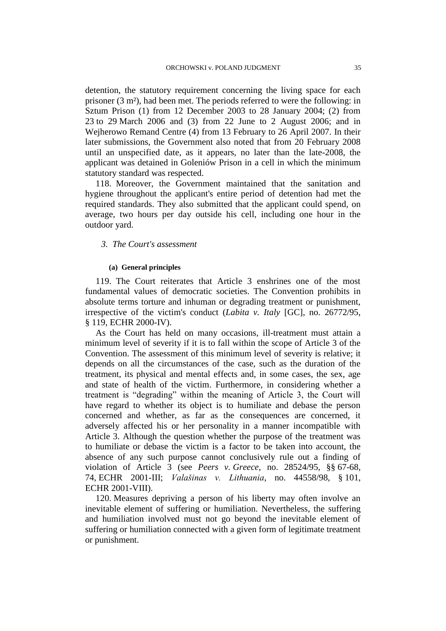detention, the statutory requirement concerning the living space for each prisoner (3 m²), had been met. The periods referred to were the following: in Sztum Prison (1) from 12 December 2003 to 28 January 2004; (2) from 23 to 29 March 2006 and (3) from 22 June to 2 August 2006; and in Wejherowo Remand Centre (4) from 13 February to 26 April 2007. In their later submissions, the Government also noted that from 20 February 2008 until an unspecified date, as it appears, no later than the late-2008, the applicant was detained in Goleniów Prison in a cell in which the minimum statutory standard was respected.

118. Moreover, the Government maintained that the sanitation and hygiene throughout the applicant's entire period of detention had met the required standards. They also submitted that the applicant could spend, on average, two hours per day outside his cell, including one hour in the outdoor yard.

## *3. The Court's assessment*

#### **(a) General principles**

119. The Court reiterates that Article 3 enshrines one of the most fundamental values of democratic societies. The Convention prohibits in absolute terms torture and inhuman or degrading treatment or punishment, irrespective of the victim's conduct (*Labita v. Italy* [GC], no. 26772/95, § 119, ECHR 2000-IV).

As the Court has held on many occasions, ill-treatment must attain a minimum level of severity if it is to fall within the scope of Article 3 of the Convention. The assessment of this minimum level of severity is relative; it depends on all the circumstances of the case, such as the duration of the treatment, its physical and mental effects and, in some cases, the sex, age and state of health of the victim. Furthermore, in considering whether a treatment is "degrading" within the meaning of Article 3, the Court will have regard to whether its object is to humiliate and debase the person concerned and whether, as far as the consequences are concerned, it adversely affected his or her personality in a manner incompatible with Article 3. Although the question whether the purpose of the treatment was to humiliate or debase the victim is a factor to be taken into account, the absence of any such purpose cannot conclusively rule out a finding of violation of Article 3 (see *Peers v. Greece*, no. 28524/95, §§ 67-68, 74, ECHR 2001-III; *Valašinas v. Lithuania*, no. 44558/98, § 101, ECHR 2001-VIII).

120. Measures depriving a person of his liberty may often involve an inevitable element of suffering or humiliation. Nevertheless, the suffering and humiliation involved must not go beyond the inevitable element of suffering or humiliation connected with a given form of legitimate treatment or punishment.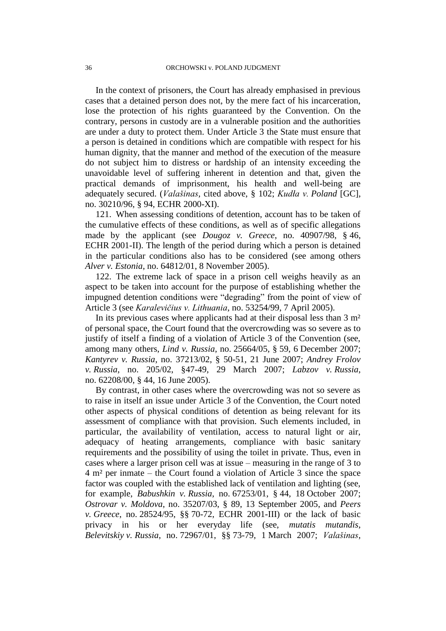In the context of prisoners, the Court has already emphasised in previous cases that a detained person does not, by the mere fact of his incarceration, lose the protection of his rights guaranteed by the Convention. On the contrary, persons in custody are in a vulnerable position and the authorities are under a duty to protect them. Under Article 3 the State must ensure that a person is detained in conditions which are compatible with respect for his human dignity, that the manner and method of the execution of the measure do not subject him to distress or hardship of an intensity exceeding the unavoidable level of suffering inherent in detention and that, given the practical demands of imprisonment, his health and well-being are adequately secured. (*Valašinas*, cited above, § 102; *Kudła v. Poland* [GC], no. 30210/96, § 94, ECHR 2000-XI).

121. When assessing conditions of detention, account has to be taken of the cumulative effects of these conditions, as well as of specific allegations made by the applicant (see *Dougoz v. Greece*, no. 40907/98, § 46, ECHR 2001-II). The length of the period during which a person is detained in the particular conditions also has to be considered (see among others *Alver v. Estonia*, no. 64812/01, 8 November 2005).

122. The extreme lack of space in a prison cell weighs heavily as an aspect to be taken into account for the purpose of establishing whether the impugned detention conditions were "degrading" from the point of view of Article 3 (see *Karalevičius v. Lithuania*, no. 53254/99, 7 April 2005).

In its previous cases where applicants had at their disposal less than 3 m<sup>2</sup> of personal space, the Court found that the overcrowding was so severe as to justify of itself a finding of a violation of Article 3 of the Convention (see, among many others, *Lind v. Russia*, no. 25664/05, § 59, 6 December 2007; *Kantyrev v. Russia*, no. 37213/02, § 50-51, 21 June 2007; *Andrey Frolov v. Russia*, no. 205/02, §47-49, 29 March 2007; *Labzov v. Russia*, no. 62208/00, § 44, 16 June 2005).

By contrast, in other cases where the overcrowding was not so severe as to raise in itself an issue under Article 3 of the Convention, the Court noted other aspects of physical conditions of detention as being relevant for its assessment of compliance with that provision. Such elements included, in particular, the availability of ventilation, access to natural light or air, adequacy of heating arrangements, compliance with basic sanitary requirements and the possibility of using the toilet in private. Thus, even in cases where a larger prison cell was at issue – measuring in the range of 3 to 4 m² per inmate – the Court found a violation of Article 3 since the space factor was coupled with the established lack of ventilation and lighting (see, for example, *Babushkin v. Russia*, no. 67253/01, § 44, 18 October 2007; *Ostrovar v. Moldova*, no. 35207/03, § 89, 13 September 2005, and *Peers v. Greece*, no. 28524/95, §§ 70-72, ECHR 2001-III) or the lack of basic privacy in his or her everyday life (see, *mutatis mutandis*, *Belevitskiy v. Russia*, no. 72967/01, §§ 73-79, 1 March 2007; *Valašinas*,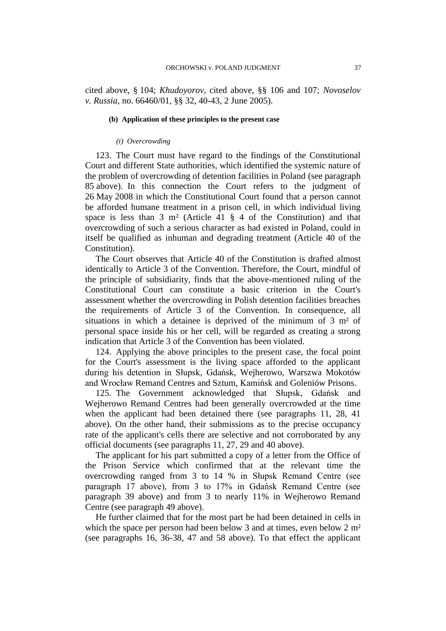cited above, § 104; *Khudoyorov*, cited above, §§ 106 and 107; *Novoselov v. Russia*, no. 66460/01, §§ 32, 40-43, 2 June 2005).

#### **(b) Application of these principles to the present case**

#### *(i) Overcrowding*

123. The Court must have regard to the findings of the Constitutional Court and different State authorities, which identified the systemic nature of the problem of overcrowding of detention facilities in Poland (see paragraph 85 above). In this connection the Court refers to the judgment of 26 May 2008 in which the Constitutional Court found that a person cannot be afforded humane treatment in a prison cell, in which individual living space is less than  $3 \text{ m}^2$  (Article  $41 \text{ s}$  4 of the Constitution) and that overcrowding of such a serious character as had existed in Poland, could in itself be qualified as inhuman and degrading treatment (Article 40 of the Constitution).

The Court observes that Article 40 of the Constitution is drafted almost identically to Article 3 of the Convention. Therefore, the Court, mindful of the principle of subsidiarity, finds that the above-mentioned ruling of the Constitutional Court can constitute a basic criterion in the Court's assessment whether the overcrowding in Polish detention facilities breaches the requirements of Article 3 of the Convention. In consequence, all situations in which a detainee is deprived of the minimum of 3 m² of personal space inside his or her cell, will be regarded as creating a strong indication that Article 3 of the Convention has been violated.

124. Applying the above principles to the present case, the focal point for the Court's assessment is the living space afforded to the applicant during his detention in Słupsk, Gdańsk, Wejherowo, Warszwa Mokotów and Wrocław Remand Centres and Sztum, Kamińsk and Goleniów Prisons.

125. The Government acknowledged that Słupsk, Gdańsk and Wejherowo Remand Centres had been generally overcrowded at the time when the applicant had been detained there (see paragraphs 11, 28, 41 above). On the other hand, their submissions as to the precise occupancy rate of the applicant's cells there are selective and not corroborated by any official documents (see paragraphs 11, 27, 29 and 40 above).

The applicant for his part submitted a copy of a letter from the Office of the Prison Service which confirmed that at the relevant time the overcrowding ranged from 3 to 14 % in Słupsk Remand Centre (see paragraph 17 above), from 3 to 17% in Gdańsk Remand Centre (see paragraph 39 above) and from 3 to nearly 11% in Wejherowo Remand Centre (see paragraph 49 above).

He further claimed that for the most part he had been detained in cells in which the space per person had been below 3 and at times, even below 2 m<sup>2</sup> (see paragraphs 16, 36-38, 47 and 58 above). To that effect the applicant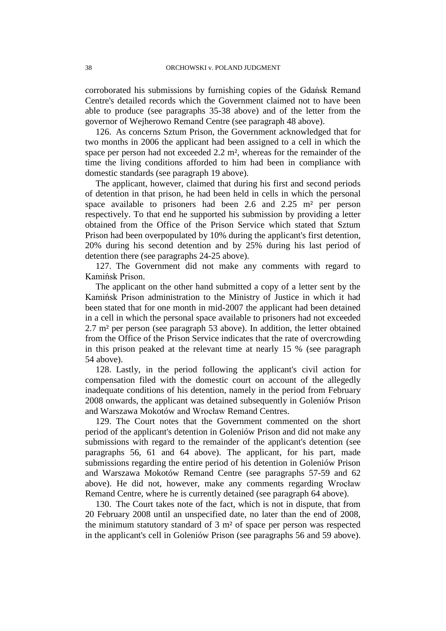corroborated his submissions by furnishing copies of the Gdańsk Remand Centre's detailed records which the Government claimed not to have been able to produce (see paragraphs 35-38 above) and of the letter from the governor of Wejherowo Remand Centre (see paragraph 48 above).

126. As concerns Sztum Prison, the Government acknowledged that for two months in 2006 the applicant had been assigned to a cell in which the space per person had not exceeded 2.2 m², whereas for the remainder of the time the living conditions afforded to him had been in compliance with domestic standards (see paragraph 19 above).

The applicant, however, claimed that during his first and second periods of detention in that prison, he had been held in cells in which the personal space available to prisoners had been 2.6 and 2.25 m² per person respectively. To that end he supported his submission by providing a letter obtained from the Office of the Prison Service which stated that Sztum Prison had been overpopulated by 10% during the applicant's first detention, 20% during his second detention and by 25% during his last period of detention there (see paragraphs 24-25 above).

127. The Government did not make any comments with regard to Kamińsk Prison.

The applicant on the other hand submitted a copy of a letter sent by the Kamińsk Prison administration to the Ministry of Justice in which it had been stated that for one month in mid-2007 the applicant had been detained in a cell in which the personal space available to prisoners had not exceeded 2.7 m² per person (see paragraph 53 above). In addition, the letter obtained from the Office of the Prison Service indicates that the rate of overcrowding in this prison peaked at the relevant time at nearly 15 % (see paragraph 54 above).

128. Lastly, in the period following the applicant's civil action for compensation filed with the domestic court on account of the allegedly inadequate conditions of his detention, namely in the period from February 2008 onwards, the applicant was detained subsequently in Goleniów Prison and Warszawa Mokotów and Wrocław Remand Centres.

129. The Court notes that the Government commented on the short period of the applicant's detention in Goleniów Prison and did not make any submissions with regard to the remainder of the applicant's detention (see paragraphs 56, 61 and 64 above). The applicant, for his part, made submissions regarding the entire period of his detention in Goleniów Prison and Warszawa Mokotów Remand Centre (see paragraphs 57-59 and 62 above). He did not, however, make any comments regarding Wrocław Remand Centre, where he is currently detained (see paragraph 64 above).

130. The Court takes note of the fact, which is not in dispute, that from 20 February 2008 until an unspecified date, no later than the end of 2008, the minimum statutory standard of 3 m² of space per person was respected in the applicant's cell in Goleniów Prison (see paragraphs 56 and 59 above).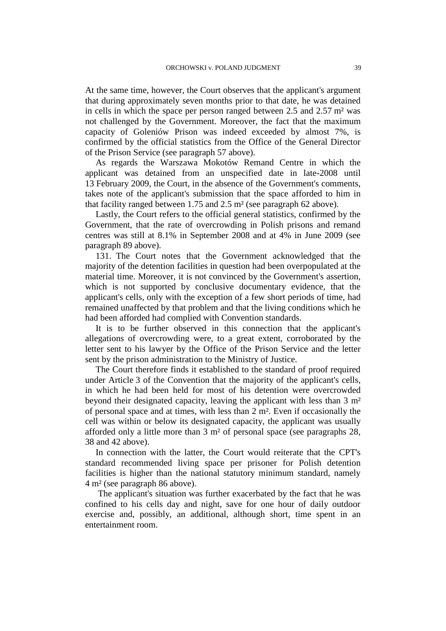At the same time, however, the Court observes that the applicant's argument that during approximately seven months prior to that date, he was detained in cells in which the space per person ranged between 2.5 and 2.57 m² was not challenged by the Government. Moreover, the fact that the maximum capacity of Goleniów Prison was indeed exceeded by almost 7%, is confirmed by the official statistics from the Office of the General Director of the Prison Service (see paragraph 57 above).

As regards the Warszawa Mokotów Remand Centre in which the applicant was detained from an unspecified date in late-2008 until 13 February 2009, the Court, in the absence of the Government's comments, takes note of the applicant's submission that the space afforded to him in that facility ranged between 1.75 and 2.5 m² (see paragraph 62 above).

Lastly, the Court refers to the official general statistics, confirmed by the Government, that the rate of overcrowding in Polish prisons and remand centres was still at 8.1% in September 2008 and at 4% in June 2009 (see paragraph 89 above).

131. The Court notes that the Government acknowledged that the majority of the detention facilities in question had been overpopulated at the material time. Moreover, it is not convinced by the Government's assertion, which is not supported by conclusive documentary evidence, that the applicant's cells, only with the exception of a few short periods of time, had remained unaffected by that problem and that the living conditions which he had been afforded had complied with Convention standards.

It is to be further observed in this connection that the applicant's allegations of overcrowding were, to a great extent, corroborated by the letter sent to his lawyer by the Office of the Prison Service and the letter sent by the prison administration to the Ministry of Justice.

The Court therefore finds it established to the standard of proof required under Article 3 of the Convention that the majority of the applicant's cells, in which he had been held for most of his detention were overcrowded beyond their designated capacity, leaving the applicant with less than 3 m² of personal space and at times, with less than 2 m². Even if occasionally the cell was within or below its designated capacity, the applicant was usually afforded only a little more than 3 m² of personal space (see paragraphs 28, 38 and 42 above).

In connection with the latter, the Court would reiterate that the CPT's standard recommended living space per prisoner for Polish detention facilities is higher than the national statutory minimum standard, namely 4 m² (see paragraph 86 above).

The applicant's situation was further exacerbated by the fact that he was confined to his cells day and night, save for one hour of daily outdoor exercise and, possibly, an additional, although short, time spent in an entertainment room.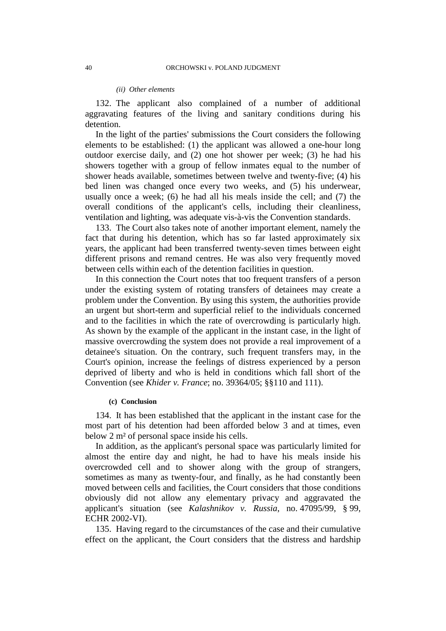#### *(ii) Other elements*

132. The applicant also complained of a number of additional aggravating features of the living and sanitary conditions during his detention.

In the light of the parties' submissions the Court considers the following elements to be established: (1) the applicant was allowed a one-hour long outdoor exercise daily, and (2) one hot shower per week; (3) he had his showers together with a group of fellow inmates equal to the number of shower heads available, sometimes between twelve and twenty-five; (4) his bed linen was changed once every two weeks, and (5) his underwear, usually once a week; (6) he had all his meals inside the cell; and (7) the overall conditions of the applicant's cells, including their cleanliness, ventilation and lighting, was adequate vis-à-vis the Convention standards.

133. The Court also takes note of another important element, namely the fact that during his detention, which has so far lasted approximately six years, the applicant had been transferred twenty-seven times between eight different prisons and remand centres. He was also very frequently moved between cells within each of the detention facilities in question.

In this connection the Court notes that too frequent transfers of a person under the existing system of rotating transfers of detainees may create a problem under the Convention. By using this system, the authorities provide an urgent but short-term and superficial relief to the individuals concerned and to the facilities in which the rate of overcrowding is particularly high. As shown by the example of the applicant in the instant case, in the light of massive overcrowding the system does not provide a real improvement of a detainee's situation. On the contrary, such frequent transfers may, in the Court's opinion, increase the feelings of distress experienced by a person deprived of liberty and who is held in conditions which fall short of the Convention (see *Khider v. France*; no. 39364/05; §§110 and 111).

#### **(c) Conclusion**

134. It has been established that the applicant in the instant case for the most part of his detention had been afforded below 3 and at times, even below 2 m² of personal space inside his cells.

In addition, as the applicant's personal space was particularly limited for almost the entire day and night, he had to have his meals inside his overcrowded cell and to shower along with the group of strangers, sometimes as many as twenty-four, and finally, as he had constantly been moved between cells and facilities, the Court considers that those conditions obviously did not allow any elementary privacy and aggravated the applicant's situation (see *Kalashnikov v. Russia*, no. 47095/99, § 99, ECHR 2002-VI).

135. Having regard to the circumstances of the case and their cumulative effect on the applicant, the Court considers that the distress and hardship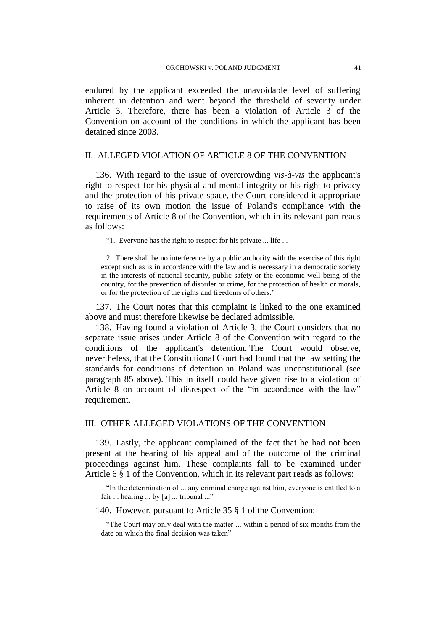endured by the applicant exceeded the unavoidable level of suffering inherent in detention and went beyond the threshold of severity under Article 3. Therefore, there has been a violation of Article 3 of the Convention on account of the conditions in which the applicant has been detained since 2003.

## II. ALLEGED VIOLATION OF ARTICLE 8 OF THE CONVENTION

136. With regard to the issue of overcrowding *vis-à-vis* the applicant's right to respect for his physical and mental integrity or his right to privacy and the protection of his private space, the Court considered it appropriate to raise of its own motion the issue of Poland's compliance with the requirements of Article 8 of the Convention, which in its relevant part reads as follows:

"1. Everyone has the right to respect for his private ... life ...

2. There shall be no interference by a public authority with the exercise of this right except such as is in accordance with the law and is necessary in a democratic society in the interests of national security, public safety or the economic well-being of the country, for the prevention of disorder or crime, for the protection of health or morals, or for the protection of the rights and freedoms of others."

137. The Court notes that this complaint is linked to the one examined above and must therefore likewise be declared admissible.

138. Having found a violation of Article 3, the Court considers that no separate issue arises under Article 8 of the Convention with regard to the conditions of the applicant's detention. The Court would observe, nevertheless, that the Constitutional Court had found that the law setting the standards for conditions of detention in Poland was unconstitutional (see paragraph 85 above). This in itself could have given rise to a violation of Article 8 on account of disrespect of the "in accordance with the law" requirement.

## III. OTHER ALLEGED VIOLATIONS OF THE CONVENTION

139. Lastly, the applicant complained of the fact that he had not been present at the hearing of his appeal and of the outcome of the criminal proceedings against him. These complaints fall to be examined under Article 6 § 1 of the Convention, which in its relevant part reads as follows:

"In the determination of ... any criminal charge against him, everyone is entitled to a fair ... hearing ... by [a] ... tribunal ..."

140. However, pursuant to Article 35 § 1 of the Convention:

"The Court may only deal with the matter ... within a period of six months from the date on which the final decision was taken"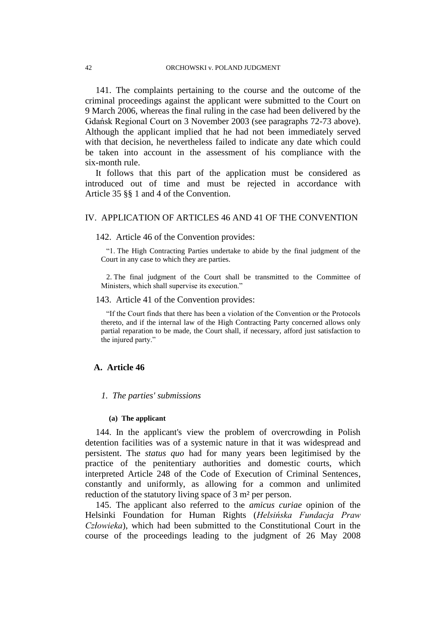141. The complaints pertaining to the course and the outcome of the criminal proceedings against the applicant were submitted to the Court on 9 March 2006, whereas the final ruling in the case had been delivered by the Gdańsk Regional Court on 3 November 2003 (see paragraphs 72-73 above). Although the applicant implied that he had not been immediately served with that decision, he nevertheless failed to indicate any date which could be taken into account in the assessment of his compliance with the six-month rule.

It follows that this part of the application must be considered as introduced out of time and must be rejected in accordance with Article 35 §§ 1 and 4 of the Convention.

## IV. APPLICATION OF ARTICLES 46 AND 41 OF THE CONVENTION

#### 142. Article 46 of the Convention provides:

"1. The High Contracting Parties undertake to abide by the final judgment of the Court in any case to which they are parties.

2. The final judgment of the Court shall be transmitted to the Committee of Ministers, which shall supervise its execution."

## 143. Article 41 of the Convention provides:

"If the Court finds that there has been a violation of the Convention or the Protocols thereto, and if the internal law of the High Contracting Party concerned allows only partial reparation to be made, the Court shall, if necessary, afford just satisfaction to the injured party."

## **A. Article 46**

#### *1. The parties' submissions*

#### **(a) The applicant**

144. In the applicant's view the problem of overcrowding in Polish detention facilities was of a systemic nature in that it was widespread and persistent. The *status quo* had for many years been legitimised by the practice of the penitentiary authorities and domestic courts, which interpreted Article 248 of the Code of Execution of Criminal Sentences, constantly and uniformly, as allowing for a common and unlimited reduction of the statutory living space of 3 m<sup>2</sup> per person.

145. The applicant also referred to the *amicus curiae* opinion of the Helsinki Foundation for Human Rights (*Helsińska Fundacja Praw Człowieka*), which had been submitted to the Constitutional Court in the course of the proceedings leading to the judgment of 26 May 2008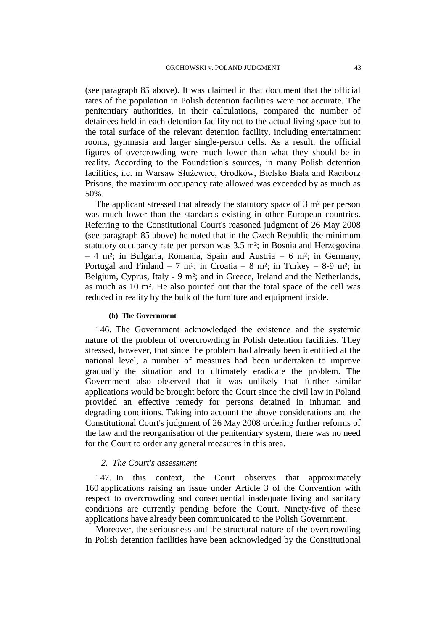(see paragraph 85 above). It was claimed in that document that the official rates of the population in Polish detention facilities were not accurate. The penitentiary authorities, in their calculations, compared the number of detainees held in each detention facility not to the actual living space but to the total surface of the relevant detention facility, including entertainment rooms, gymnasia and larger single-person cells. As a result, the official figures of overcrowding were much lower than what they should be in reality. According to the Foundation's sources, in many Polish detention facilities, i.e. in Warsaw Służewiec, Grodków, Bielsko Biała and Racibórz Prisons, the maximum occupancy rate allowed was exceeded by as much as 50%.

The applicant stressed that already the statutory space of 3 m<sup>2</sup> per person was much lower than the standards existing in other European countries. Referring to the Constitutional Court's reasoned judgment of 26 May 2008 (see paragraph 85 above) he noted that in the Czech Republic the minimum statutory occupancy rate per person was 3.5 m²; in Bosnia and Herzegovina – 4 m²; in Bulgaria, Romania, Spain and Austria – 6 m²; in Germany, Portugal and Finland – 7 m<sup>2</sup>; in Croatia – 8 m<sup>2</sup>; in Turkey – 8-9 m<sup>2</sup>; in Belgium, Cyprus, Italy - 9 m²; and in Greece, Ireland and the Netherlands, as much as 10 m². He also pointed out that the total space of the cell was reduced in reality by the bulk of the furniture and equipment inside.

#### **(b) The Government**

146. The Government acknowledged the existence and the systemic nature of the problem of overcrowding in Polish detention facilities. They stressed, however, that since the problem had already been identified at the national level, a number of measures had been undertaken to improve gradually the situation and to ultimately eradicate the problem. The Government also observed that it was unlikely that further similar applications would be brought before the Court since the civil law in Poland provided an effective remedy for persons detained in inhuman and degrading conditions. Taking into account the above considerations and the Constitutional Court's judgment of 26 May 2008 ordering further reforms of the law and the reorganisation of the penitentiary system, there was no need for the Court to order any general measures in this area.

## *2. The Court's assessment*

147. In this context, the Court observes that approximately 160 applications raising an issue under Article 3 of the Convention with respect to overcrowding and consequential inadequate living and sanitary conditions are currently pending before the Court. Ninety-five of these applications have already been communicated to the Polish Government.

Moreover, the seriousness and the structural nature of the overcrowding in Polish detention facilities have been acknowledged by the Constitutional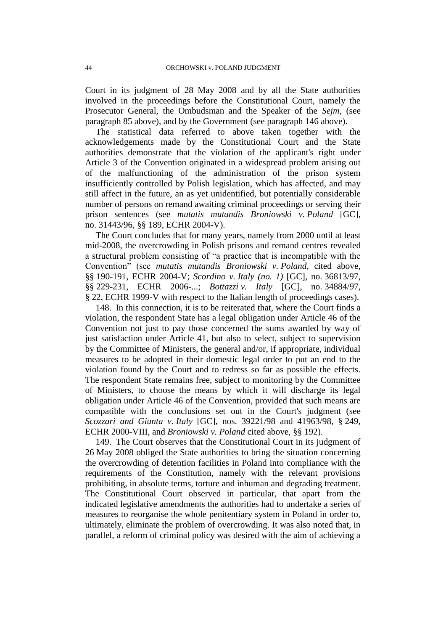Court in its judgment of 28 May 2008 and by all the State authorities involved in the proceedings before the Constitutional Court, namely the Prosecutor General, the Ombudsman and the Speaker of the *Sejm*, (see paragraph 85 above), and by the Government (see paragraph 146 above).

The statistical data referred to above taken together with the acknowledgements made by the Constitutional Court and the State authorities demonstrate that the violation of the applicant's right under Article 3 of the Convention originated in a widespread problem arising out of the malfunctioning of the administration of the prison system insufficiently controlled by Polish legislation, which has affected, and may still affect in the future, an as yet unidentified, but potentially considerable number of persons on remand awaiting criminal proceedings or serving their prison sentences (see *mutatis mutandis Broniowski v. Poland* [GC], no. 31443/96, §§ 189, ECHR 2004-V).

The Court concludes that for many years, namely from 2000 until at least mid-2008, the overcrowding in Polish prisons and remand centres revealed a structural problem consisting of "a practice that is incompatible with the Convention" (see *mutatis mutandis Broniowski v. Poland,* cited above, §§ 190-191, ECHR 2004-V; *Scordino v. Italy (no. 1)* [GC], no. 36813/97, §§ 229-231, ECHR 2006-...; *Bottazzi v. Italy* [GC], no. 34884/97, § 22, ECHR 1999-V with respect to the Italian length of proceedings cases).

148. In this connection, it is to be reiterated that, where the Court finds a violation, the respondent State has a legal obligation under Article 46 of the Convention not just to pay those concerned the sums awarded by way of just satisfaction under Article 41, but also to select, subject to supervision by the Committee of Ministers, the general and/or, if appropriate, individual measures to be adopted in their domestic legal order to put an end to the violation found by the Court and to redress so far as possible the effects. The respondent State remains free, subject to monitoring by the Committee of Ministers, to choose the means by which it will discharge its legal obligation under Article 46 of the Convention, provided that such means are compatible with the conclusions set out in the Court's judgment (see *Scozzari and Giunta v. Italy* [GC], nos. 39221/98 and 41963/98, § 249, ECHR 2000-VIII, and *Broniowski v. Poland* cited above, §§ 192).

149. The Court observes that the Constitutional Court in its judgment of 26 May 2008 obliged the State authorities to bring the situation concerning the overcrowding of detention facilities in Poland into compliance with the requirements of the Constitution, namely with the relevant provisions prohibiting, in absolute terms, torture and inhuman and degrading treatment. The Constitutional Court observed in particular, that apart from the indicated legislative amendments the authorities had to undertake a series of measures to reorganise the whole penitentiary system in Poland in order to, ultimately, eliminate the problem of overcrowding. It was also noted that, in parallel, a reform of criminal policy was desired with the aim of achieving a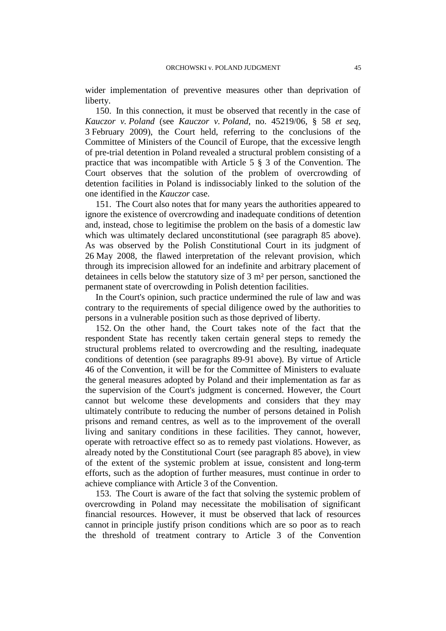wider implementation of preventive measures other than deprivation of liberty.

150. In this connection, it must be observed that recently in the case of *Kauczor v. Poland* (see *Kauczor v. Poland*, no. 45219/06, § 58 *et seq,* 3 February 2009), the Court held, referring to the conclusions of the Committee of Ministers of the Council of Europe, that the excessive length of pre-trial detention in Poland revealed a structural problem consisting of a practice that was incompatible with Article 5 § 3 of the Convention. The Court observes that the solution of the problem of overcrowding of detention facilities in Poland is indissociably linked to the solution of the one identified in the *Kauczor* case.

151. The Court also notes that for many years the authorities appeared to ignore the existence of overcrowding and inadequate conditions of detention and, instead, chose to legitimise the problem on the basis of a domestic law which was ultimately declared unconstitutional (see paragraph 85 above). As was observed by the Polish Constitutional Court in its judgment of 26 May 2008, the flawed interpretation of the relevant provision, which through its imprecision allowed for an indefinite and arbitrary placement of detainees in cells below the statutory size of 3 m² per person, sanctioned the permanent state of overcrowding in Polish detention facilities.

In the Court's opinion, such practice undermined the rule of law and was contrary to the requirements of special diligence owed by the authorities to persons in a vulnerable position such as those deprived of liberty.

152. On the other hand, the Court takes note of the fact that the respondent State has recently taken certain general steps to remedy the structural problems related to overcrowding and the resulting, inadequate conditions of detention (see paragraphs 89-91 above). By virtue of Article 46 of the Convention, it will be for the Committee of Ministers to evaluate the general measures adopted by Poland and their implementation as far as the supervision of the Court's judgment is concerned. However, the Court cannot but welcome these developments and considers that they may ultimately contribute to reducing the number of persons detained in Polish prisons and remand centres, as well as to the improvement of the overall living and sanitary conditions in these facilities. They cannot, however, operate with retroactive effect so as to remedy past violations. However, as already noted by the Constitutional Court (see paragraph 85 above), in view of the extent of the systemic problem at issue, consistent and long-term efforts, such as the adoption of further measures, must continue in order to achieve compliance with Article 3 of the Convention.

153. The Court is aware of the fact that solving the systemic problem of overcrowding in Poland may necessitate the mobilisation of significant financial resources. However, it must be observed that lack of resources cannot in principle justify prison conditions which are so poor as to reach the threshold of treatment contrary to Article 3 of the Convention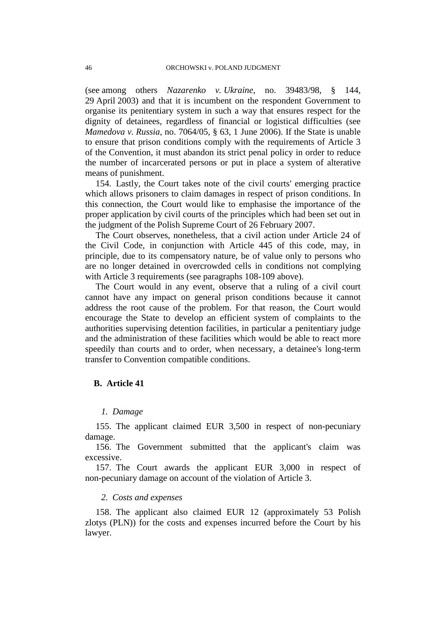(see among others *Nazarenko v. Ukraine*, no. 39483/98, § 144, 29 April 2003) and that it is incumbent on the respondent Government to organise its penitentiary system in such a way that ensures respect for the dignity of detainees, regardless of financial or logistical difficulties (see *Mamedova v. Russia*, no. 7064/05, § 63, 1 June 2006). If the State is unable to ensure that prison conditions comply with the requirements of Article 3 of the Convention, it must abandon its strict penal policy in order to reduce the number of incarcerated persons or put in place a system of alterative means of punishment.

154. Lastly, the Court takes note of the civil courts' emerging practice which allows prisoners to claim damages in respect of prison conditions. In this connection, the Court would like to emphasise the importance of the proper application by civil courts of the principles which had been set out in the judgment of the Polish Supreme Court of 26 February 2007.

The Court observes, nonetheless, that a civil action under Article 24 of the Civil Code, in conjunction with Article 445 of this code, may, in principle, due to its compensatory nature, be of value only to persons who are no longer detained in overcrowded cells in conditions not complying with Article 3 requirements (see paragraphs 108-109 above).

The Court would in any event, observe that a ruling of a civil court cannot have any impact on general prison conditions because it cannot address the root cause of the problem. For that reason, the Court would encourage the State to develop an efficient system of complaints to the authorities supervising detention facilities, in particular a penitentiary judge and the administration of these facilities which would be able to react more speedily than courts and to order, when necessary, a detainee's long-term transfer to Convention compatible conditions.

## **B. Article 41**

#### *1. Damage*

155. The applicant claimed EUR 3,500 in respect of non-pecuniary damage.

156. The Government submitted that the applicant's claim was excessive.

157. The Court awards the applicant EUR 3,000 in respect of non-pecuniary damage on account of the violation of Article 3.

## *2. Costs and expenses*

158. The applicant also claimed EUR 12 (approximately 53 Polish zlotys (PLN)) for the costs and expenses incurred before the Court by his lawyer.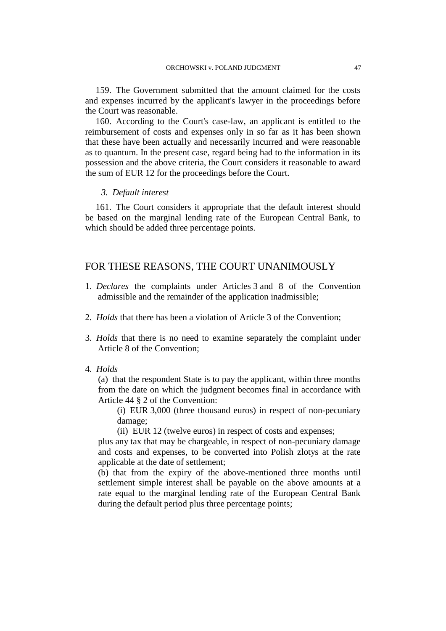159. The Government submitted that the amount claimed for the costs and expenses incurred by the applicant's lawyer in the proceedings before the Court was reasonable.

160. According to the Court's case-law, an applicant is entitled to the reimbursement of costs and expenses only in so far as it has been shown that these have been actually and necessarily incurred and were reasonable as to quantum. In the present case, regard being had to the information in its possession and the above criteria, the Court considers it reasonable to award the sum of EUR 12 for the proceedings before the Court.

## *3. Default interest*

161. The Court considers it appropriate that the default interest should be based on the marginal lending rate of the European Central Bank, to which should be added three percentage points.

## FOR THESE REASONS, THE COURT UNANIMOUSLY

- 1. *Declares* the complaints under Articles 3 and 8 of the Convention admissible and the remainder of the application inadmissible;
- 2. *Holds* that there has been a violation of Article 3 of the Convention;
- 3. *Holds* that there is no need to examine separately the complaint under Article 8 of the Convention;
- 4. *Holds*

(a) that the respondent State is to pay the applicant, within three months from the date on which the judgment becomes final in accordance with Article 44 § 2 of the Convention:

(i) EUR 3,000 (three thousand euros) in respect of non-pecuniary damage;

(ii) EUR 12 (twelve euros) in respect of costs and expenses;

plus any tax that may be chargeable, in respect of non-pecuniary damage and costs and expenses, to be converted into Polish zlotys at the rate applicable at the date of settlement;

(b) that from the expiry of the above-mentioned three months until settlement simple interest shall be payable on the above amounts at a rate equal to the marginal lending rate of the European Central Bank during the default period plus three percentage points;